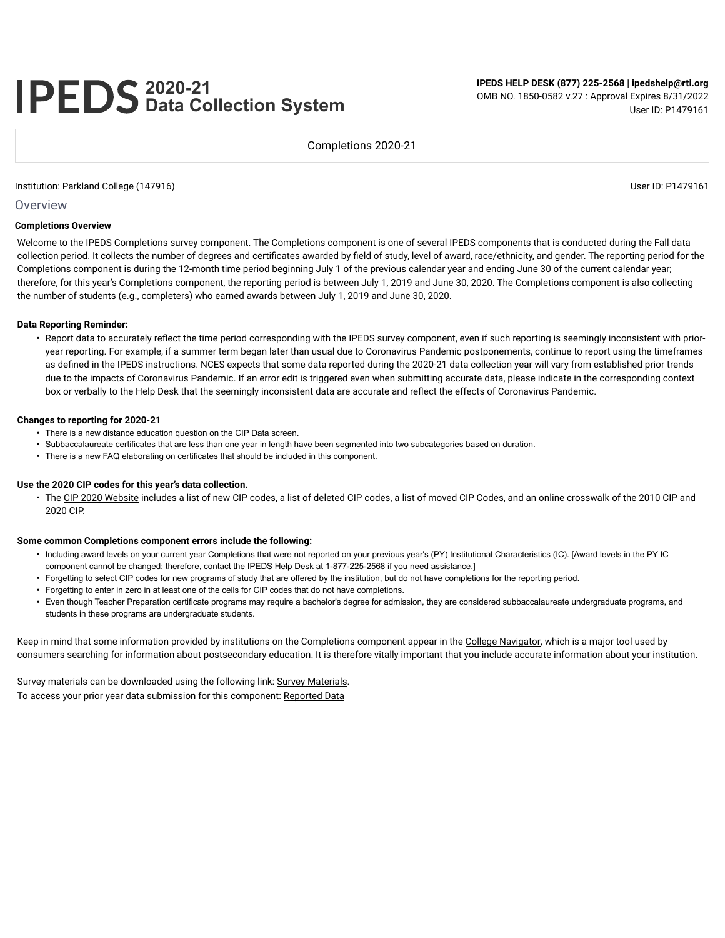# **2020-21 Data Collection System**

**IPEDS HELP DESK (877) 225-2568 | ipedshelp@rti.org** OMB NO. 1850-0582 v.27 : Approval Expires 8/31/2022 User ID: P1479161

Completions 2020-21

#### Institution: Parkland College (147916) User ID: P1479161

Overview

#### **Completions Overview**

Welcome to the IPEDS Completions survey component. The Completions component is one of several IPEDS components that is conducted during the Fall data collection period. It collects the number of degrees and certificates awarded by field of study, level of award, race/ethnicity, and gender. The reporting period for the Completions component is during the 12-month time period beginning July 1 of the previous calendar year and ending June 30 of the current calendar year; therefore, for this year's Completions component, the reporting period is between July 1, 2019 and June 30, 2020. The Completions component is also collecting the number of students (e.g., completers) who earned awards between July 1, 2019 and June 30, 2020.

#### **Data Reporting Reminder:**

• Report data to accurately reflect the time period corresponding with the IPEDS survey component, even if such reporting is seemingly inconsistent with prioryear reporting. For example, if a summer term began later than usual due to Coronavirus Pandemic postponements, continue to report using the timeframes as defined in the IPEDS instructions. NCES expects that some data reported during the 2020-21 data collection year will vary from established prior trends due to the impacts of Coronavirus Pandemic. If an error edit is triggered even when submitting accurate data, please indicate in the corresponding context box or verbally to the Help Desk that the seemingly inconsistent data are accurate and reflect the effects of Coronavirus Pandemic.

#### **Changes to reporting for 2020-21**

- There is a new distance education question on the CIP Data screen.
- Subbaccalaureate certificates that are less than one year in length have been segmented into two subcategories based on duration.
- There is a new FAQ elaborating on certificates that should be included in this component.

#### **Use the 2020 CIP codes for this year's data collection.**

• The CIP 2020 Website includes a list of new CIP codes, a list of deleted CIP codes, a list of moved CIP Codes, and an online crosswalk of the 2010 CIP and 2020 CIP.

#### **Some common Completions component errors include the following:**

- Including award levels on your current year Completions that were not reported on your previous year's (PY) Institutional Characteristics (IC). [Award levels in the PY IC component cannot be changed; therefore, contact the IPEDS Help Desk at 1-877-225-2568 if you need assistance.]
- Forgetting to select CIP codes for new programs of study that are offered by the institution, but do not have completions for the reporting period.
- Forgetting to enter in zero in at least one of the cells for CIP codes that do not have completions.
- Even though Teacher Preparation certificate programs may require a bachelor's degree for admission, they are considered subbaccalaureate undergraduate programs, and students in these programs are undergraduate students.

Keep in mind that some information provided by institutions on the Completions component appear in the College Navigator, which is a major tool used by consumers searching for information about postsecondary education. It is therefore vitally important that you include accurate information about your institution.

Survey materials can be downloaded using the following link: Survey Materials. To access your prior year data submission for this component: Reported Data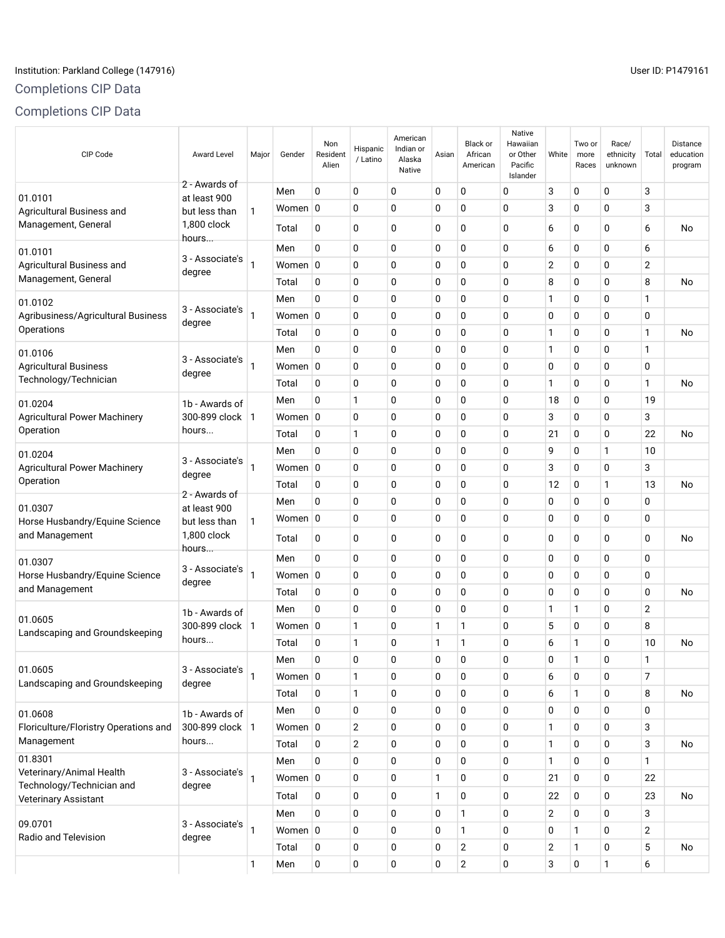# Institution: Parkland College (147916) Contract the USE of the USE of the USE of the USE of the USE of the USE

# Completions CIP Data

Completions CIP Data

| CIP Code                                          | <b>Award Level</b>            | Major          | Gender      | Non<br>Resident<br>Alien | Hispanic<br>/ Latino | American<br>Indian or<br>Alaska<br>Native | Asian       | <b>Black or</b><br>African<br>American | Native<br>Hawaiian<br>or Other<br>Pacific<br>Islander | White          | Two or<br>more<br>Races | Race/<br>ethnicity<br>unknown | Total          | Distance<br>education<br>program |
|---------------------------------------------------|-------------------------------|----------------|-------------|--------------------------|----------------------|-------------------------------------------|-------------|----------------------------------------|-------------------------------------------------------|----------------|-------------------------|-------------------------------|----------------|----------------------------------|
| 01.0101                                           | 2 - Awards of<br>at least 900 |                | Men         | $\mathbf 0$              | 0                    | $\mathbf 0$                               | 0           | 0                                      | 0                                                     | 3              | 0                       | 0                             | 3              |                                  |
| Agricultural Business and                         | but less than                 | 1              | Women 0     |                          | 0                    | 0                                         | 0           | 0                                      | 0                                                     | 3              | 0                       | 0                             | 3              |                                  |
| Management, General                               | 1,800 clock<br>hours          |                | Total       | 0                        | 0                    | 0                                         | 0           | 0                                      | 0                                                     | 6              | 0                       | 0                             | 6              | No                               |
| 01.0101                                           | 3 - Associate's               |                | Men         | 0                        | 0                    | $\mathbf 0$                               | 0           | 0                                      | 0                                                     | 6              | 0                       | 0                             | 6              |                                  |
| Agricultural Business and                         | degree                        | $\mathbf{1}$   | Women 0     |                          | 0                    | 0                                         | 0           | 0                                      | 0                                                     | $\overline{2}$ | 0                       | 0                             | $\overline{2}$ |                                  |
| Management, General                               |                               |                | Total       | 0                        | 0                    | $\mathbf 0$                               | $\mathbf 0$ | $\mathbf 0$                            | 0                                                     | 8              | 0                       | 0                             | 8              | No                               |
| 01.0102                                           | 3 - Associate's               |                | Men         | 0                        | 0                    | $\mathbf 0$                               | $\mathbf 0$ | 0                                      | 0                                                     | 1              | 0                       | 0                             | $\mathbf{1}$   |                                  |
| Agribusiness/Agricultural Business                | degree                        | 1              | Women 0     |                          | 0                    | $\mathbf 0$                               | 0           | 0                                      | 0                                                     | 0              | 0                       | 0                             | 0              |                                  |
| Operations                                        |                               |                | Total       | 0                        | 0                    | $\mathbf 0$                               | 0           | 0                                      | 0                                                     | 1              | 0                       | 0                             | 1              | No                               |
| 01.0106                                           |                               |                | Men         | 0                        | 0                    | $\mathbf 0$                               | $\mathbf 0$ | $\mathbf 0$                            | 0                                                     | 1              | 0                       | 0                             | 1              |                                  |
| <b>Agricultural Business</b>                      | 3 - Associate's<br>degree     | 1              | Women 0     |                          | 0                    | 0                                         | 0           | $\mathbf 0$                            | 0                                                     | 0              | 0                       | 0                             | $\mathbf 0$    |                                  |
| Technology/Technician                             |                               |                | Total       | 0                        | 0                    | 0                                         | 0           | 0                                      | 0                                                     | 1              | 0                       | 0                             | 1              | No                               |
| 01.0204                                           | 1b - Awards of                |                | Men         | 0                        | $\mathbf{1}$         | 0                                         | 0           | 0                                      | 0                                                     | 18             | 0                       | 0                             | 19             |                                  |
| <b>Agricultural Power Machinery</b>               | 300-899 clock                 | $\overline{1}$ | Women 0     |                          | 0                    | $\mathbf 0$                               | $\mathbf 0$ | $\mathbf 0$                            | 0                                                     | 3              | 0                       | 0                             | 3              |                                  |
| Operation                                         | hours                         |                | Total       | 0                        | 1                    | 0                                         | $\mathbf 0$ | 0                                      | 0                                                     | 21             | 0                       | 0                             | 22             | No                               |
| 01.0204                                           |                               |                | Men         | 0                        | 0                    | $\mathbf 0$                               | $\mathbf 0$ | 0                                      | 0                                                     | 9              | 0                       | 1                             | 10             |                                  |
| <b>Agricultural Power Machinery</b>               | 3 - Associate's<br>degree     | 1              | Women 0     |                          | 0                    | 0                                         | 0           | 0                                      | 0                                                     | 3              | 0                       | 0                             | 3              |                                  |
| Operation                                         |                               |                | Total       | $\Omega$                 | 0                    | $\mathbf 0$                               | $\mathbf 0$ | 0                                      | 0                                                     | 12             | 0                       | 1                             | 13             | No                               |
| 01.0307                                           | 2 - Awards of<br>at least 900 |                | Men         | 0                        | 0                    | 0                                         | $\mathbf 0$ | 0                                      | 0                                                     | 0              | 0                       | 0                             | 0              |                                  |
| Horse Husbandry/Equine Science                    | but less than                 | $\mathbf{1}$   | Women 0     |                          | 0                    | 0                                         | 0           | 0                                      | 0                                                     | 0              | 0                       | 0                             | 0              |                                  |
| and Management                                    | 1,800 clock<br>hours          |                | Total       | 0                        | 0                    | 0                                         | 0           | 0                                      | 0                                                     | 0              | 0                       | 0                             | 0              | No                               |
| 01.0307                                           |                               |                | Men         | 0                        | 0                    | $\mathbf 0$                               | 0           | 0                                      | 0                                                     | 0              | 0                       | 0                             | 0              |                                  |
| Horse Husbandry/Equine Science                    | 3 - Associate's<br>degree     | 1              | Women 0     |                          | 0                    | 0                                         | 0           | 0                                      | 0                                                     | 0              | 0                       | 0                             | 0              |                                  |
| and Management                                    |                               |                | Total       | 0                        | 0                    | 0                                         | 0           | 0                                      | 0                                                     | 0              | 0                       | 0                             | $\mathbf 0$    | No                               |
|                                                   | 1b - Awards of                |                | Men         | 0                        | 0                    | $\mathbf 0$                               | $\mathbf 0$ | 0                                      | 0                                                     | 1              | 1                       | 0                             | $\overline{2}$ |                                  |
| 01.0605<br>Landscaping and Groundskeeping         | 300-899 clock                 | $\mathbf{1}$   | Women 0     |                          | 1                    | 0                                         | 1           | 1                                      | 0                                                     | 5              | 0                       | 0                             | 8              |                                  |
|                                                   | hours                         |                | Total       | 0                        | 1                    | 0                                         | 1           | 1                                      | 0                                                     | 6              | 1                       | 0                             | 10             | No                               |
|                                                   |                               |                | Men         | 0                        | 0                    | 0                                         | 0           | 0                                      | 0                                                     | 0              | 1                       | 0                             | 1              |                                  |
| 01.0605<br>Landscaping and Groundskeeping         | 3 - Associate's<br>degree     | 1              | Women 0     |                          | $\mathbf{1}$         | $\mathbf 0$                               | 0           | $\mathbf 0$                            | 0                                                     | 6              | 0                       | 0                             | $\overline{7}$ |                                  |
|                                                   |                               |                | Total       | 0                        | $\mathbf{1}$         | $\mathbf 0$                               | 0           | $\mathbf 0$                            | 0                                                     | 6              | $\mathbf{1}$            | 0                             | 8              | No                               |
| 01.0608                                           | 1b - Awards of                |                | Men         | $\mathbf 0$              | 0                    | 0                                         | 0           | 0                                      | 0                                                     | 0              | 0                       | 0                             | 0              |                                  |
| Floriculture/Floristry Operations and             | 300-899 clock   1             |                | Women 0     |                          | $\overline{2}$       | $\mathbf 0$                               | 0           | 0                                      | 0                                                     | 1              | 0                       | 0                             | 3              |                                  |
| Management                                        | hours                         |                | Total       | 0                        | $\overline{2}$       | 0                                         | 0           | 0                                      | 0                                                     | 1              | 0                       | 0                             | 3              | <b>No</b>                        |
| 01.8301                                           |                               |                | Men         | $\mathbf 0$              | 0                    | $\mathbf 0$                               | 0           | 0                                      | 0                                                     | 1              | 0                       | 0                             | $\mathbf{1}$   |                                  |
| Veterinary/Animal Health                          | 3 - Associate's               | $\mathbf{1}$   | Women $ 0 $ |                          | 0                    | 0                                         | 1           | 0                                      | 0                                                     | 21             | 0                       | 0                             | 22             |                                  |
| Technology/Technician and<br>Veterinary Assistant | degree                        |                | Total       | 0                        | 0                    | 0                                         | 1           | 0                                      | 0                                                     | 22             | 0                       | 0                             | 23             | No                               |
|                                                   |                               |                | Men         | 0                        | 0                    | 0                                         | 0           | 1                                      | 0                                                     | 2              | 0                       | 0                             | 3              |                                  |
| 09.0701                                           | 3 - Associate's               | 1              | Women 0     |                          | 0                    | 0                                         | 0           | $\mathbf{1}$                           | 0                                                     | 0              | 1                       | 0                             | $\overline{2}$ |                                  |
| Radio and Television                              | degree                        |                | Total       | 0                        | 0                    | $\mathbf 0$                               | 0           | $\mathbf{2}$                           | 0                                                     | $\mathbf{2}$   | 1                       | 0                             | 5              | No                               |
|                                                   |                               | $\mathbf{1}$   | Men         | 0                        | 0                    | $\mathbf 0$                               | 0           | $\mathbf 2$                            | 0                                                     | 3              | 0                       | 1                             | 6              |                                  |
|                                                   |                               |                |             |                          |                      |                                           |             |                                        |                                                       |                |                         |                               |                |                                  |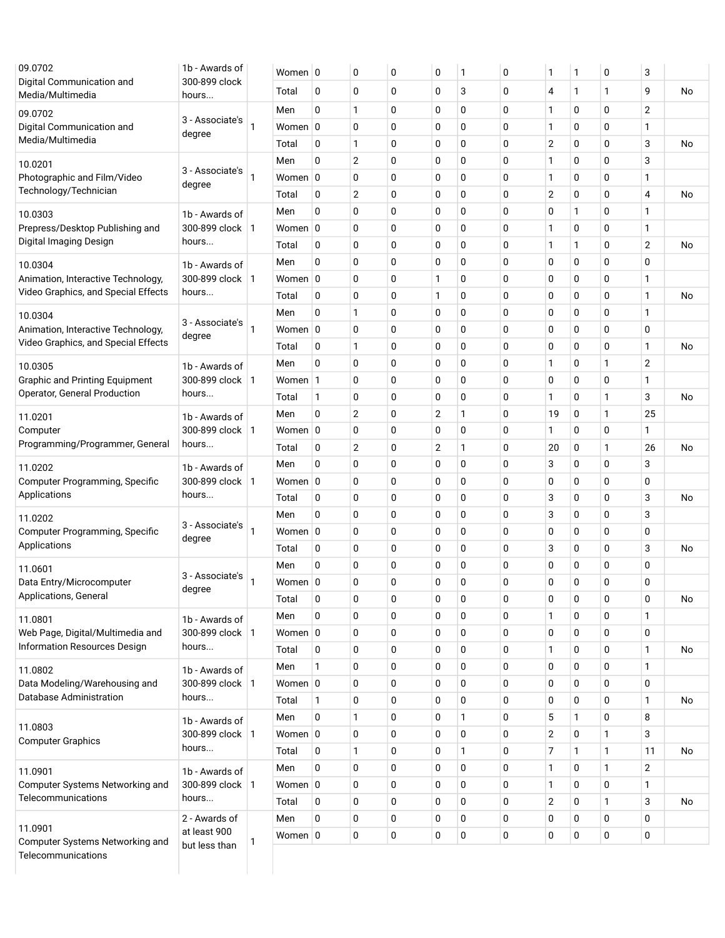| 1b - Awards of |                                                                                                                                                                                                                                                          |                                                                                                                                                                                           |          | 0                                                                                                                                                                         | 0           | 0              | 1            | 0         | 1              | 1            | 0 | 3              |    |
|----------------|----------------------------------------------------------------------------------------------------------------------------------------------------------------------------------------------------------------------------------------------------------|-------------------------------------------------------------------------------------------------------------------------------------------------------------------------------------------|----------|---------------------------------------------------------------------------------------------------------------------------------------------------------------------------|-------------|----------------|--------------|-----------|----------------|--------------|---|----------------|----|
| hours          |                                                                                                                                                                                                                                                          | Total                                                                                                                                                                                     | 0        | $\mathbf 0$                                                                                                                                                               | $\mathbf 0$ | 0              | 3            | 0         | 4              | $\mathbf{1}$ | 1 | 9              | No |
|                |                                                                                                                                                                                                                                                          | Men                                                                                                                                                                                       | 0        | 1                                                                                                                                                                         | $\mathbf 0$ | 0              | 0            | 0         | $\mathbf{1}$   | 0            | 0 | $\overline{2}$ |    |
|                | 1                                                                                                                                                                                                                                                        |                                                                                                                                                                                           |          | $\mathbf 0$                                                                                                                                                               | $\mathbf 0$ | 0              | 0            | 0         | 1              | 0            | 0 | 1              |    |
|                |                                                                                                                                                                                                                                                          | Total                                                                                                                                                                                     | 0        | 1                                                                                                                                                                         | 0           | 0              | 0            | 0         | $\overline{2}$ | 0            | 0 | 3              | No |
|                |                                                                                                                                                                                                                                                          | Men                                                                                                                                                                                       | 0        | $\sqrt{2}$                                                                                                                                                                | $\mathbf 0$ | 0              | 0            | 0         | 1              | 0            | 0 | 3              |    |
|                | 1                                                                                                                                                                                                                                                        |                                                                                                                                                                                           |          | $\mathbf 0$                                                                                                                                                               | $\mathbf 0$ | 0              | 0            | 0         | 1              | 0            | 0 | $\mathbf{1}$   |    |
|                |                                                                                                                                                                                                                                                          | Total                                                                                                                                                                                     | 0        | $\overline{2}$                                                                                                                                                            | $\mathbf 0$ | 0              | 0            | 0         | $\overline{2}$ | 0            | 0 | 4              | No |
| 1b - Awards of |                                                                                                                                                                                                                                                          | Men                                                                                                                                                                                       | 0        | $\mathbf 0$                                                                                                                                                               | $\mathbf 0$ | 0              | 0            | 0         | 0              | $\mathbf{1}$ | 0 | 1              |    |
|                |                                                                                                                                                                                                                                                          |                                                                                                                                                                                           |          | $\mathbf 0$                                                                                                                                                               | $\mathbf 0$ | 0              | 0            | 0         | 1              | 0            | 0 | 1              |    |
| hours          |                                                                                                                                                                                                                                                          | Total                                                                                                                                                                                     | 0        | $\mathbf 0$                                                                                                                                                               | $\mathbf 0$ | 0              | 0            | 0         | 1              | $\mathbf{1}$ | 0 | $\overline{2}$ | No |
| 1b - Awards of |                                                                                                                                                                                                                                                          | Men                                                                                                                                                                                       | 0        | $\mathbf 0$                                                                                                                                                               | $\mathbf 0$ | 0              | 0            | 0         | 0              | 0            | 0 | 0              |    |
|                |                                                                                                                                                                                                                                                          |                                                                                                                                                                                           |          | $\mathbf 0$                                                                                                                                                               | $\mathbf 0$ | 1              | 0            | 0         | 0              | 0            | 0 | 1              |    |
| hours          |                                                                                                                                                                                                                                                          | Total                                                                                                                                                                                     | 0        | $\mathbf 0$                                                                                                                                                               | $\mathbf 0$ | 1              | 0            | 0         | 0              | 0            | 0 | 1              | No |
|                |                                                                                                                                                                                                                                                          | Men                                                                                                                                                                                       | 0        | $\mathbf{1}$                                                                                                                                                              | $\mathbf 0$ | 0              | 0            | 0         | 0              | 0            | 0 | $\mathbf{1}$   |    |
|                | 1                                                                                                                                                                                                                                                        |                                                                                                                                                                                           |          | $\mathbf 0$                                                                                                                                                               | 0           | 0              | 0            | 0         | 0              | 0            | 0 | 0              |    |
|                |                                                                                                                                                                                                                                                          | Total                                                                                                                                                                                     | 0        | 1                                                                                                                                                                         | $\mathbf 0$ | 0              | 0            | 0         | 0              | 0            | 0 | 1              | No |
| 1b - Awards of |                                                                                                                                                                                                                                                          | Men                                                                                                                                                                                       | 0        | $\mathbf 0$                                                                                                                                                               | $\mathbf 0$ | 0              | 0            | 0         | 1              | 0            | 1 | $\mathbf{2}$   |    |
|                |                                                                                                                                                                                                                                                          |                                                                                                                                                                                           |          | $\mathbf 0$                                                                                                                                                               | $\mathbf 0$ | 0              | 0            | 0         | 0              | 0            | 0 | 1              |    |
| hours          |                                                                                                                                                                                                                                                          | Total                                                                                                                                                                                     | 1        | $\mathbf 0$                                                                                                                                                               | $\mathbf 0$ | 0              | 0            | 0         | 1              | 0            | 1 | 3              | No |
|                |                                                                                                                                                                                                                                                          | Men                                                                                                                                                                                       | 0        | $\overline{2}$                                                                                                                                                            | $\mathbf 0$ | $\overline{2}$ | 1            | 0         | 19             | 0            | 1 | 25             |    |
|                |                                                                                                                                                                                                                                                          |                                                                                                                                                                                           |          | $\mathbf 0$                                                                                                                                                               | $\mathbf 0$ | 0              | 0            | 0         | 1              | 0            | 0 | 1              |    |
| hours          |                                                                                                                                                                                                                                                          | Total                                                                                                                                                                                     | 0        | $\overline{2}$                                                                                                                                                            | $\mathbf 0$ | $\overline{2}$ | 1            | 0         | 20             | 0            | 1 | 26             | No |
| 1b - Awards of |                                                                                                                                                                                                                                                          | Men                                                                                                                                                                                       | 0        | $\mathbf 0$                                                                                                                                                               | $\mathbf 0$ | 0              | 0            | 0         | 3              | 0            | 0 | 3              |    |
|                |                                                                                                                                                                                                                                                          |                                                                                                                                                                                           |          | $\mathbf 0$                                                                                                                                                               | $\mathbf 0$ | 0              | 0            | 0         | 0              | 0            | 0 | 0              |    |
| hours          |                                                                                                                                                                                                                                                          | Total                                                                                                                                                                                     | 0        | $\mathbf 0$                                                                                                                                                               | $\mathbf 0$ | 0              | 0            | 0         | 3              | 0            | 0 | 3              | No |
|                |                                                                                                                                                                                                                                                          | Men                                                                                                                                                                                       | 0        | $\mathbf 0$                                                                                                                                                               | $\mathbf 0$ | 0              | 0            | 0         | 3              | 0            | 0 | 3              |    |
|                | 1                                                                                                                                                                                                                                                        |                                                                                                                                                                                           |          | $\mathbf 0$                                                                                                                                                               | $\mathbf 0$ | 0              | 0            | 0         | 0              | 0            | 0 | 0              |    |
|                |                                                                                                                                                                                                                                                          | Total                                                                                                                                                                                     | 0        | 0                                                                                                                                                                         | 0           | 0              | 0            | 0         | 3              | 0            | 0 | 3              | No |
|                |                                                                                                                                                                                                                                                          | Men                                                                                                                                                                                       | 0        | 0                                                                                                                                                                         | $\mathbf 0$ | 0              | 0            | 0         | 0              | 0            | 0 | 0              |    |
|                | 1                                                                                                                                                                                                                                                        |                                                                                                                                                                                           |          | $\mathbf 0$                                                                                                                                                               | $\mathbf 0$ | 0              | 0            | 0         | 0              | 0            | 0 | 0              |    |
|                |                                                                                                                                                                                                                                                          | Total                                                                                                                                                                                     | 0        | 0                                                                                                                                                                         | 0           | 0              | 0            | 0         | 0              | 0            | 0 | 0              | No |
|                |                                                                                                                                                                                                                                                          | Men                                                                                                                                                                                       | 0        | $\mathbf 0$                                                                                                                                                               | $\mathbf 0$ | 0              | 0            | 0         | 1              | 0            | 0 | $\mathbf{1}$   |    |
|                |                                                                                                                                                                                                                                                          |                                                                                                                                                                                           |          | $\mathbf 0$                                                                                                                                                               | $\mathbf 0$ | 0              | 0            | 0         | 0              | 0            | 0 | 0              |    |
| hours          |                                                                                                                                                                                                                                                          | Total                                                                                                                                                                                     | 0        | $\mathbf 0$                                                                                                                                                               | $\mathbf 0$ | 0              | 0            | 0         | 1              | 0            | 0 | 1              | No |
|                |                                                                                                                                                                                                                                                          | Men                                                                                                                                                                                       | 1        | $\mathbf 0$                                                                                                                                                               | $\mathbf 0$ | 0              | 0            | 0         | 0              | 0            | 0 | 1              |    |
|                |                                                                                                                                                                                                                                                          |                                                                                                                                                                                           |          | $\mathbf 0$                                                                                                                                                               | 0           | 0              | 0            | 0         | 0              | 0            | 0 | 0              |    |
| hours          |                                                                                                                                                                                                                                                          | Total                                                                                                                                                                                     | 1        | $\mathbf 0$                                                                                                                                                               | $\mathbf 0$ | 0              | 0            | 0         | 0              | 0            | 0 | 1              | No |
|                |                                                                                                                                                                                                                                                          | Men                                                                                                                                                                                       | $\Omega$ | $\mathbf{1}$                                                                                                                                                              | $\mathbf 0$ | 0              | $\mathbf{1}$ | 0         | 5              | $\mathbf{1}$ | 0 | 8              |    |
|                |                                                                                                                                                                                                                                                          |                                                                                                                                                                                           |          | $\mathbf 0$                                                                                                                                                               | 0           | 0              | 0            | 0         | $\overline{2}$ | 0            | 1 | 3              |    |
| hours          |                                                                                                                                                                                                                                                          | Total                                                                                                                                                                                     | 0        | 1                                                                                                                                                                         | $\mathbf 0$ | 0              | 1            | 0         | $\overline{7}$ | 1            | 1 | 11             | No |
|                |                                                                                                                                                                                                                                                          | Men                                                                                                                                                                                       | 0        | $\mathbf 0$                                                                                                                                                               | $\mathbf 0$ | 0              | 0            | 0         | 1              | 0            | 1 | $\mathbf{2}$   |    |
|                |                                                                                                                                                                                                                                                          |                                                                                                                                                                                           |          | $\mathbf 0$                                                                                                                                                               | $\mathbf 0$ | 0              | 0            | 0         | 1              | 0            | 0 | $\mathbf{1}$   |    |
| hours          |                                                                                                                                                                                                                                                          | Total                                                                                                                                                                                     | 0        | $\mathbf 0$                                                                                                                                                               | 0           | 0              | 0            | 0         | $\overline{2}$ | 0            | 1 | 3              | No |
| 2 - Awards of  |                                                                                                                                                                                                                                                          | Men                                                                                                                                                                                       | 0        | 0                                                                                                                                                                         | 0           | 0              | 0            | 0         | 0              | 0            | 0 | 0              |    |
| at least 900   |                                                                                                                                                                                                                                                          | Women $ 0 $                                                                                                                                                                               |          | $\mathbf 0$                                                                                                                                                               | $\mathbf 0$ | 0              | 0            | $\pmb{0}$ | 0              | 0            | 0 | 0              |    |
|                | 300-899 clock<br>3 - Associate's<br>degree<br>3 - Associate's<br>degree<br>3 - Associate's<br>degree<br>1b - Awards of<br>3 - Associate's<br>degree<br>3 - Associate's<br>dearee<br>1b - Awards of<br>1b - Awards of<br>1b - Awards of<br>1b - Awards of | 300-899 clock   1<br>300-899 clock   1<br>300-899 clock   1<br>300-899 clock   1<br>300-899 clock   1<br>300-899 clock   1<br>300-899 clock   1<br>300-899 clock   1<br>300-899 clock   1 |          | Women 0<br>Women 0<br>Women 0<br>Women 0<br>Women 0<br>Women 0<br>Women 1<br>Women 0<br>Women 0<br>Women 0<br>Women 0<br>Women $ 0 $<br>Women 0<br>Women $ 0 $<br>Women 0 |             |                |              |           |                |              |   |                |    |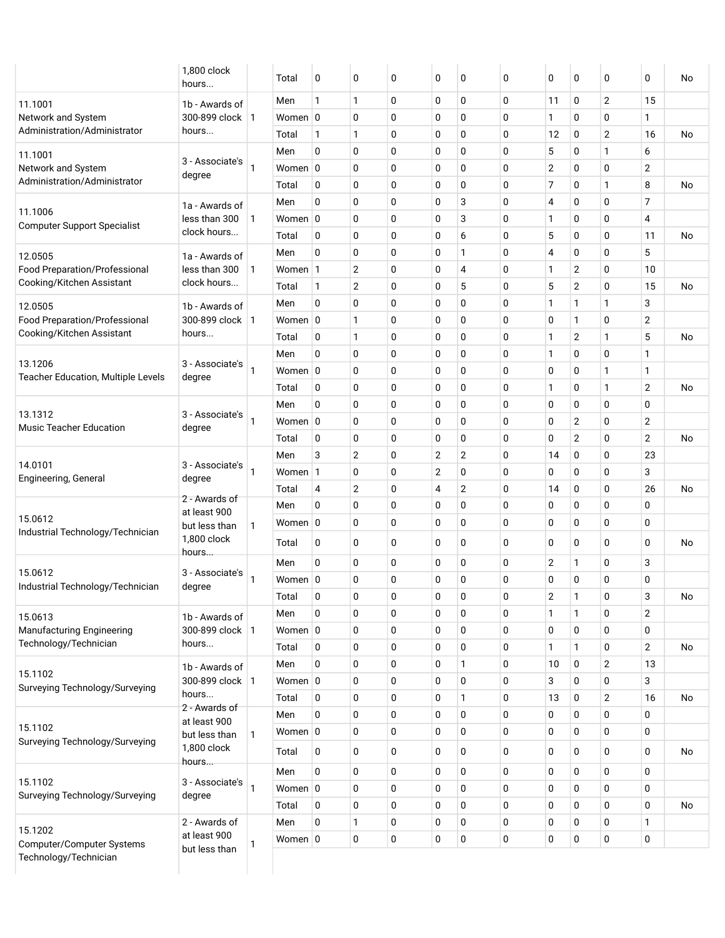|                                             | 1,800 clock<br>hours          |              | Total           | 0            | 0              | 0           | 0 | 0              | 0           | 0  | 0            | 0 | 0              | No        |
|---------------------------------------------|-------------------------------|--------------|-----------------|--------------|----------------|-------------|---|----------------|-------------|----|--------------|---|----------------|-----------|
| 11.1001                                     | 1b - Awards of                |              | Men             | 1            | $\mathbf{1}$   | 0           | 0 | 0              | 0           | 11 | 0            | 2 | 15             |           |
| Network and System                          | 300-899 clock   1             |              | Women 0         |              | 0              | 0           | 0 | 0              | 0           | 1  | 0            | 0 | 1              |           |
| Administration/Administrator                | hours                         |              | Total           | 1            | $\mathbf{1}$   | 0           | 0 | 0              | 0           | 12 | 0            | 2 | 16             | No        |
| 11.1001                                     |                               |              | Men             | 0            | 0              | 0           | 0 | 0              | 0           | 5  | 0            | 1 | 6              |           |
| Network and System                          | 3 - Associate's<br>degree     |              | Women 0         |              | 0              | 0           | 0 | 0              | 0           | 2  | 0            | 0 | 2              |           |
| Administration/Administrator                |                               |              | Total           | $\Omega$     | 0              | 0           | 0 | 0              | 0           | 7  | 0            | 1 | 8              | No        |
| 11.1006                                     | 1a - Awards of                |              | Men             | 0            | 0              | 0           | 0 | 3              | 0           | 4  | 0            | 0 | 7              |           |
| <b>Computer Support Specialist</b>          | less than 300                 | -1           | Women $\vert$ 0 |              | 0              | 0           | 0 | 3              | $\mathbf 0$ | 1  | 0            | 0 | 4              |           |
|                                             | clock hours                   |              | Total           | 0            | 0              | 0           | 0 | 6              | 0           | 5  | 0            | 0 | 11             | No        |
| 12.0505                                     | 1a - Awards of                |              | Men             | 0            | 0              | 0           | 0 | 1              | 0           | 4  | 0            | 0 | 5              |           |
| Food Preparation/Professional               | less than 300                 | -1           | Women 1         |              | $\overline{2}$ | 0           | 0 | 4              | 0           | 1  | 2            | 0 | 10             |           |
| Cooking/Kitchen Assistant                   | clock hours                   |              | Total           | $\mathbf{1}$ | $\overline{2}$ | 0           | 0 | 5              | 0           | 5  | 2            | 0 | 15             | No        |
| 12.0505                                     | 1b - Awards of                |              | Men             | 0            | 0              | 0           | 0 | 0              | 0           | 1  | 1            | 1 | 3              |           |
| Food Preparation/Professional               | 300-899 clock   1             |              | Women 0         |              | $\mathbf{1}$   | 0           | 0 | 0              | 0           | 0  | 1            | 0 | $\mathbf{2}$   |           |
| Cooking/Kitchen Assistant                   | hours                         |              | Total           | 0            | 1              | 0           | 0 | 0              | 0           | 1  | 2            | 1 | 5              | <b>No</b> |
| 13.1206                                     | 3 - Associate's               |              | Men             | 0            | 0              | 0           | 0 | 0              | 0           | 1  | 0            | 0 | 1              |           |
| Teacher Education, Multiple Levels          | degree                        | -1           | Women 0         |              | 0              | 0           | 0 | 0              | 0           | 0  | 0            | 1 | 1              |           |
|                                             |                               |              | Total           | 0            | 0              | 0           | 0 | 0              | 0           | 1  | 0            | 1 | 2              | No        |
| 13.1312                                     | 3 - Associate's               |              | Men             | 0            | 0              | 0           | 0 | 0              | 0           | 0  | 0            | 0 | 0              |           |
| <b>Music Teacher Education</b>              | degree                        | -1           | Women 0         |              | 0              | 0           | 0 | 0              | 0           | 0  | 2            | 0 | $\mathbf{2}$   |           |
|                                             |                               |              | Total           | 0            | 0              | 0           | 0 | 0              | 0           | 0  | 2            | 0 | $\overline{2}$ | No        |
| 14.0101                                     | 3 - Associate's               |              | Men             | 3            | $\overline{2}$ | 0           | 2 | $\overline{2}$ | 0           | 14 | 0            | 0 | 23             |           |
| Engineering, General                        | degree                        |              | Women 1         |              | 0              | 0           | 2 | 0              | 0           | 0  | 0            | 0 | 3              |           |
|                                             | 2 - Awards of                 |              | Total           | 4            | $\overline{2}$ | 0           | 4 | $\mathbf{2}$   | $\mathbf 0$ | 14 | 0            | 0 | 26             | No        |
| 15.0612                                     | at least 900                  |              | Men             | 0            | 0              | 0           | 0 | 0              | 0           | 0  | 0            | 0 | 0              |           |
| Industrial Technology/Technician            | but less than                 | $\mathbf{1}$ | Women 0         |              | 0              | 0           | 0 | 0              | 0           | 0  | 0            | 0 | 0              |           |
|                                             | 1,800 clock<br>hours          |              | Total           | 0            | 0              | 0           | 0 | 0              | 0           | 0  | 0            | 0 | 0              | No        |
|                                             |                               |              | Men             | 0            | 0              | 0           | 0 | 0              | 0           | 2  | 1            | 0 | 3              |           |
| 15.0612<br>Industrial Technology/Technician | 3 - Associate's<br>degree     | 1            | Women 0         |              | 0              | 0           | 0 | 0              | 0           | 0  | 0            | 0 | 0              |           |
|                                             |                               |              | Total           | 0            | 0              | 0           | 0 | 0              | 0           | 2  |              | 0 | 3              | No        |
| 15.0613                                     | 1b - Awards of                |              | Men             | 0            | 0              | 0           | 0 | 0              | 0           | 1  | 1            | 0 | $\overline{2}$ |           |
| <b>Manufacturing Engineering</b>            | 300-899 clock   1             |              | Women $ 0$      |              | 0              | $\mathbf 0$ | 0 | 0              | $\mathbf 0$ | 0  | 0            | 0 | 0              |           |
| Technology/Technician                       | hours                         |              | Total           | 0            | 0              | 0           | 0 | 0              | 0           | 1  | $\mathbf{1}$ | 0 | $\overline{2}$ | No        |
| 15.1102                                     | 1b - Awards of                |              | Men             | 0            | 0              | 0           | 0 | 1              | 0           | 10 | 0            | 2 | 13             |           |
| Surveying Technology/Surveying              | 300-899 clock   1             |              | Women 0         |              | 0              | 0           | 0 | 0              | 0           | 3  | 0            | 0 | 3              |           |
|                                             | hours<br>2 - Awards of        |              | Total           | 0            | 0              | 0           | 0 | 1              | 0           | 13 | 0            | 2 | 16             | No        |
|                                             | at least 900                  |              | Men             | 0            | 0              | 0           | 0 | 0              | 0           | 0  | 0            | 0 | 0              |           |
| 15.1102<br>Surveying Technology/Surveying   | but less than                 | 1            | Women $ 0$      |              | 0              | $\mathbf 0$ | 0 | 0              | 0           | 0  | 0            | 0 | 0              |           |
|                                             | 1,800 clock                   |              | Total           | 0            | 0              | 0           | 0 | 0              | 0           | 0  | 0            | 0 | 0              | No        |
|                                             | hours                         |              | Men             | 0            | 0              | 0           | 0 | 0              | 0           | 0  | 0            | 0 | 0              |           |
| 15.1102                                     | 3 - Associate's               | $\mathbf{1}$ | Women $ 0 $     |              | 0              | 0           | 0 | 0              | 0           | 0  | 0            | 0 | 0              |           |
| Surveying Technology/Surveying              | degree                        |              | Total           | 0            | 0              | 0           | 0 | 0              | 0           | 0  | 0            | 0 | 0              | No        |
|                                             | 2 - Awards of                 |              | Men             | 0            | $\mathbf{1}$   | 0           | 0 | 0              | 0           | 0  | 0            | 0 | 1              |           |
| 15.1202<br>Computer/Computer Systems        | at least 900<br>but less than | 1            | Women $ 0$      |              | 0              | $\mathbf 0$ | 0 | 0              | 0           | 0  | 0            | 0 | 0              |           |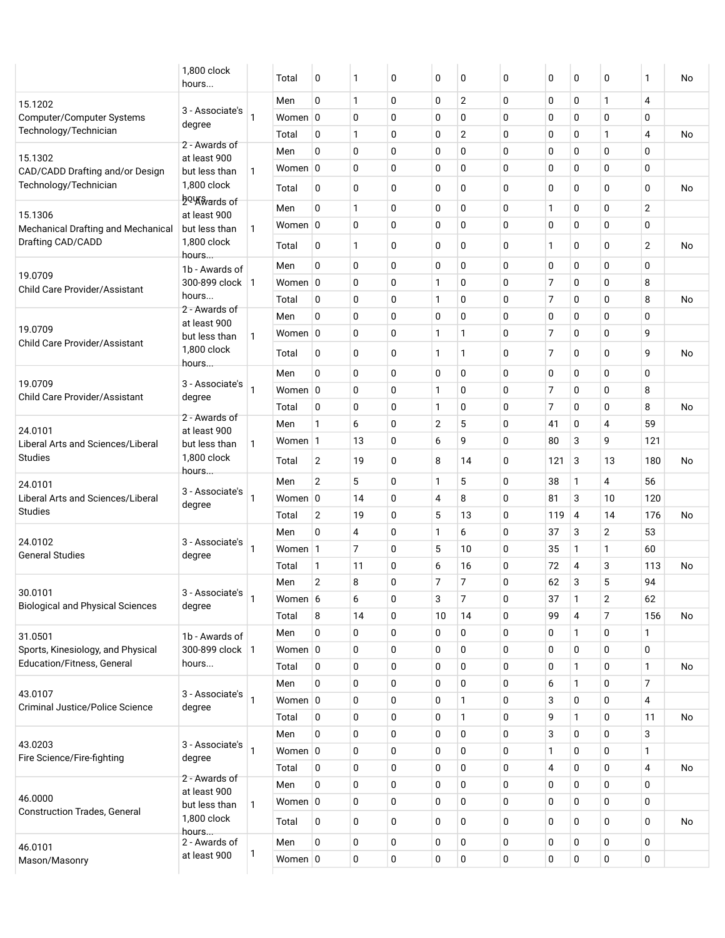|                                                   | 1,800 clock<br>hours          |   | Total      | 0              | 1              | 0           | 0              | 0              | 0           | 0   | 0 | 0              | 1              | No        |
|---------------------------------------------------|-------------------------------|---|------------|----------------|----------------|-------------|----------------|----------------|-------------|-----|---|----------------|----------------|-----------|
| 15.1202                                           |                               |   | Men        | 0              | $\mathbf{1}$   | 0           | 0              | $\overline{2}$ | $\mathbf 0$ | 0   | 0 | 1              | 4              |           |
| Computer/Computer Systems                         | 3 - Associate's               |   | Women $ 0$ |                | 0              | 0           | $\mathbf 0$    | 0              | $\mathbf 0$ | 0   | 0 | 0              | 0              |           |
| Technology/Technician                             | degree                        |   | Total      | 0              | 1              | 0           | $\mathbf 0$    | 2              | $\mathbf 0$ | 0   | 0 | 1              | 4              | No        |
|                                                   | 2 - Awards of                 |   | Men        | 0              | $\mathbf 0$    | 0           | 0              | 0              | $\mathbf 0$ | 0   | 0 | 0              | 0              |           |
| 15.1302<br>CAD/CADD Drafting and/or Design        | at least 900<br>but less than | 1 | Women 0    |                | 0              | 0           | 0              | 0              | 0           | 0   | 0 | 0              | 0              |           |
| Technology/Technician                             | 1,800 clock                   |   | Total      | 0              | 0              | 0           | 0              | 0              | 0           | 0   | 0 | 0              | 0              | No        |
|                                                   | hou wards of                  |   |            |                |                |             |                |                |             |     |   |                |                |           |
| 15.1306                                           | at least 900                  |   | Men        | 0              | $\mathbf{1}$   | 0           | 0              | 0              | 0           | 1   | 0 | 0              | $\overline{2}$ |           |
| Mechanical Drafting and Mechanical                | but less than                 | 1 | Women 0    |                | 0              | 0           | 0              | 0              | $\pmb{0}$   | 0   | 0 | 0              | 0              |           |
| Drafting CAD/CADD                                 | 1,800 clock<br>hours…         |   | Total      | 0              | $\mathbf{1}$   | 0           | 0              | 0              | 0           | 1   | 0 | 0              | $\overline{2}$ | No        |
|                                                   | 1b - Awards of                |   | Men        | 0              | $\mathbf 0$    | 0           | 0              | 0              | $\mathbf 0$ | 0   | 0 | 0              | 0              |           |
| 19.0709<br><b>Child Care Provider/Assistant</b>   | 300-899 clock   1             |   | Women $ 0$ |                | 0              | 0           | 1              | 0              | $\mathbf 0$ | 7   | 0 | 0              | 8              |           |
|                                                   | hours                         |   | Total      | 0              | 0              | 0           | 1              | 0              | $\mathbf 0$ | 7   | 0 | 0              | 8              | No        |
|                                                   | 2 - Awards of<br>at least 900 |   | Men        | $\mathbf 0$    | 0              | 0           | $\mathbf 0$    | 0              | $\mathbf 0$ | 0   | 0 | 0              | 0              |           |
| 19.0709                                           | but less than                 | 1 | Women 0    |                | 0              | 0           | 1              | 1              | $\mathbf 0$ | 7   | 0 | 0              | 9              |           |
| <b>Child Care Provider/Assistant</b>              | 1,800 clock                   |   | Total      | 0              | 0              | 0           | 1              | $\mathbf{1}$   | 0           | 7   | 0 | 0              | 9              | No        |
|                                                   | hours                         |   | Men        | $\mathbf 0$    | 0              | $\mathbf 0$ | 0              | 0              | $\mathbf 0$ | 0   | 0 | 0              | 0              |           |
| 19.0709                                           | 3 - Associate's               | 1 | Women 0    |                | 0              | 0           | $\mathbf{1}$   | 0              | $\mathbf 0$ | 7   | 0 | 0              | 8              |           |
| <b>Child Care Provider/Assistant</b>              | degree                        |   | Total      | 0              | $\mathbf 0$    | 0           | 1              | 0              | $\mathbf 0$ | 7   | 0 | 0              | 8              | <b>No</b> |
|                                                   | 2 - Awards of                 |   | Men        | $\mathbf{1}$   | 6              | 0           | $\overline{2}$ | 5              | $\mathbf 0$ | 41  | 0 | 4              | 59             |           |
| 24.0101<br>Liberal Arts and Sciences/Liberal      | at least 900                  |   | Women 1    |                | 13             | 0           | 6              | 9              | 0           | 80  | 3 | 9              | 121            |           |
| <b>Studies</b>                                    | but less than<br>1,800 clock  | 1 |            |                |                |             |                |                |             |     |   |                |                |           |
|                                                   | hours…                        |   | Total      | 2              | 19             | 0           | 8              | 14             | 0           | 121 | 3 | 13             | 180            | No        |
| 24.0101                                           | 3 - Associate's               |   | Men        | $\overline{2}$ | 5              | 0           | 1              | 5              | $\mathbf 0$ | 38  | 1 | 4              | 56             |           |
| Liberal Arts and Sciences/Liberal                 | degree                        |   | Women 0    |                | 14             | 0           | 4              | 8              | 0           | 81  | 3 | 10             | 120            |           |
| <b>Studies</b>                                    |                               |   | Total      | $\overline{2}$ | 19             | 0           | 5              | 13             | $\mathbf 0$ | 119 | 4 | 14             | 176            | No        |
| 24.0102                                           | 3 - Associate's               |   | Men        | $\mathbf 0$    | 4              | 0           | 1              | 6              | 0           | 37  | 3 | $\overline{2}$ | 53             |           |
| <b>General Studies</b>                            | degree                        |   | Women 1    |                | $\overline{7}$ | 0           | 5              | 10             | 0           | 35  | 1 | 1              | 60             |           |
|                                                   |                               |   | Total      | 1              | 11             | 0           | 6              | 16             | $\mathbf 0$ | 72  | 4 | 3              | 113            | No        |
| 30.0101                                           | 3 - Associate's               |   | Men        | $\overline{2}$ | 8              | 0           | 7              | 7              | 0           | 62  | 3 | 5              | 94             |           |
| <b>Biological and Physical Sciences</b>           | degree                        | 1 | Women 6    |                | 6              | 0           | 3              | 7              | 0           | 37  | 1 | 2              | 62             |           |
|                                                   |                               |   | Total      | 8              | 14             | 0           | 10             | 14             | 0           | 99  | 4 | 7              | 156            | No        |
| 31.0501                                           | 1b - Awards of                |   | Men        | $\mathbf 0$    | 0              | 0           | 0              | 0              | 0           | 0   | 1 | 0              | 1              |           |
| Sports, Kinesiology, and Physical                 | 300-899 clock   1             |   | Women 0    |                | 0              | 0           | 0              | 0              | 0           | 0   | 0 | 0              | 0              |           |
| Education/Fitness, General                        | hours                         |   | Total      | 0              | 0              | 0           | 0              | 0              | 0           | 0   | 1 | 0              | 1              | No        |
|                                                   |                               |   | Men        | 0              | 0              | 0           | 0              | 0              | 0           | 6   | 1 | 0              | 7              |           |
| 43.0107<br><b>Criminal Justice/Police Science</b> | 3 - Associate's<br>degree     |   | Women 0    |                | 0              | 0           | 0              | 1              | 0           | 3   | 0 | 0              | 4              |           |
|                                                   |                               |   | Total      | 0              | 0              | 0           | 0              | 1              | $\mathbf 0$ | 9   | 1 | 0              | 11             | No        |
|                                                   |                               |   | Men        | 0              | 0              | 0           | 0              | 0              | 0           | 3   | 0 | 0              | 3              |           |
| 43.0203<br>Fire Science/Fire-fighting             | 3 - Associate's<br>degree     | 1 | Women 0    |                | 0              | 0           | 0              | 0              | 0           | 1   | 0 | 0              | 1              |           |
|                                                   |                               |   | Total      | 0              | 0              | 0           | 0              | 0              | 0           | 4   | 0 | 0              | 4              | No        |
|                                                   | 2 - Awards of<br>at least 900 |   | Men        | 0              | 0              | 0           | 0              | 0              | 0           | 0   | 0 | 0              | 0              |           |
| 46.0000                                           | but less than                 | 1 | Women $ 0$ |                | 0              | 0           | 0              | 0              | 0           | 0   | 0 | 0              | 0              |           |
| <b>Construction Trades, General</b>               | 1,800 clock                   |   | Total      | 0              | $\mathbf 0$    | 0           | 0              | 0              | 0           | 0   | 0 | 0              | $\mathbf 0$    | No        |
| 46.0101                                           | hours<br>2 - Awards of        |   | Men        | 0              | 0              | 0           | 0              | 0              | 0           | 0   | 0 | 0              | 0              |           |
| Mason/Masonry                                     | at least 900                  | 1 | Women $ 0$ |                | 0              | 0           | 0              | 0              | 0           | 0   | 0 | 0              | 0              |           |
|                                                   |                               |   |            |                |                |             |                |                |             |     |   |                |                |           |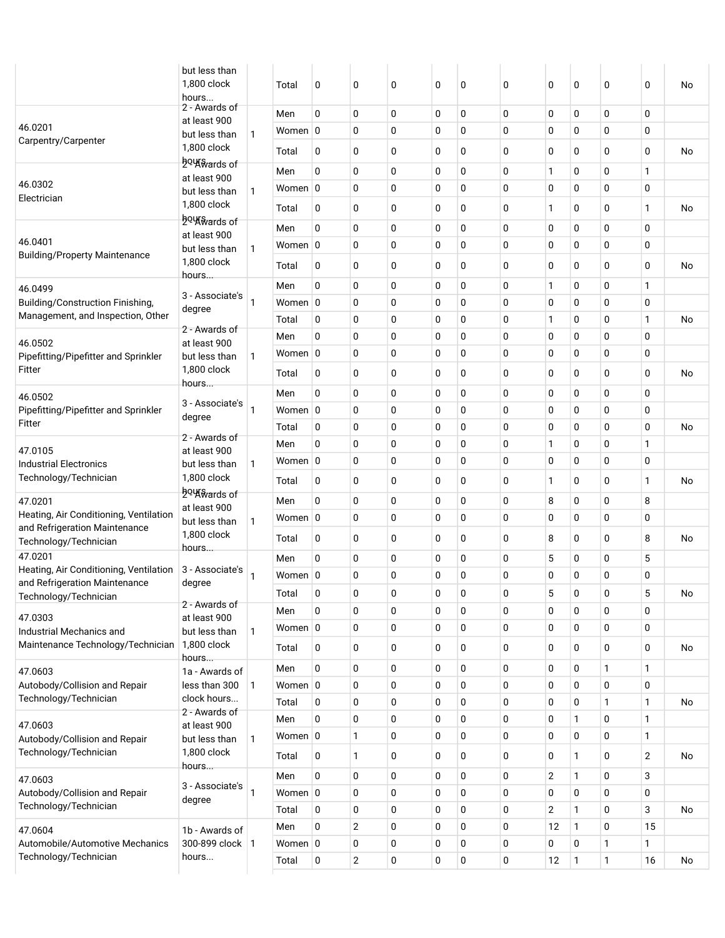|                                                               | but less than<br>1,800 clock<br>hours |                | Total            | 0           | 0              | 0           | 0      | $\mathbf 0$      | 0      | 0              | 0                | 0            | 0            | No |
|---------------------------------------------------------------|---------------------------------------|----------------|------------------|-------------|----------------|-------------|--------|------------------|--------|----------------|------------------|--------------|--------------|----|
|                                                               | 2 - Awards of<br>at least 900         |                | Men              | 0           | 0              | $\mathbf 0$ | 0      | 0                | 0      | 0              | 0                | 0            | 0            |    |
| 46.0201                                                       | but less than                         | $\mathbf{1}$   | Women 0          |             | 0              | 0           | 0      | 0                | 0      | 0              | 0                | 0            | 0            |    |
| Carpentry/Carpenter                                           | 1,800 clock<br>hou wards of           |                | Total            | 0           | 0              | 0           | 0      | 0                | 0      | 0              | 0                | 0            | 0            | No |
|                                                               | at least 900                          |                | Men              | 0           | 0              | $\mathbf 0$ | 0      | $\mathbf 0$      | 0      | 1              | 0                | 0            | 1            |    |
| 46.0302                                                       | but less than                         | $\mathbf{1}$   | Women 0          |             | 0              | 0           | 0      | $\mathbf 0$      | 0      | 0              | 0                | 0            | 0            |    |
| Electrician                                                   | 1,800 clock<br>ho Will and s of       |                | Total            | 0           | 0              | 0           | 0      | 0                | 0      | 1              | 0                | 0            | 1            | No |
|                                                               | at least 900                          |                | Men              | 0           | 0              | $\mathbf 0$ | 0      | $\mathbf 0$      | 0      | 0              | 0                | 0            | 0            |    |
| 46.0401                                                       | but less than                         | 1              | Women 0          |             | 0              | 0           | 0      | $\mathbf 0$      | 0      | 0              | 0                | 0            | 0            |    |
| <b>Building/Property Maintenance</b>                          | 1,800 clock<br>hours                  |                | Total            | 0           | 0              | 0           | 0      | 0                | 0      | $\mathbf 0$    | 0                | 0            | 0            | No |
| 46.0499                                                       |                                       |                | Men              | 0           | 0              | $\mathbf 0$ | 0      | 0                | 0      | 1              | 0                | 0            | 1            |    |
| Building/Construction Finishing,                              | 3 - Associate's<br>degree             | 1              | Women 0          |             | 0              | 0           | 0      | $\mathbf 0$      | 0      | 0              | 0                | 0            | 0            |    |
| Management, and Inspection, Other                             |                                       |                | Total            | 0           | 0              | 0           | 0      | $\mathbf 0$      | 0      | $\mathbf{1}$   | 0                | 0            | $\mathbf{1}$ | No |
| 46.0502                                                       | 2 - Awards of<br>at least 900         |                | Men              | 0           | 0              | $\mathbf 0$ | 0      | 0                | 0      | 0              | 0                | 0            | 0            |    |
| Pipefitting/Pipefitter and Sprinkler                          | but less than                         | $\mathbf{1}$   | Women 0          |             | 0              | 0           | 0      | 0                | 0      | 0              | 0                | 0            | 0            |    |
| Fitter                                                        | 1,800 clock                           |                | Total            | 0           | 0              | 0           | 0      | 0                | 0      | 0              | 0                | 0            | 0            | No |
| 46.0502                                                       | hours                                 |                | Men              | 0           | 0              | $\mathbf 0$ | 0      | 0                | 0      | 0              | 0                | 0            | 0            |    |
| Pipefitting/Pipefitter and Sprinkler                          | 3 - Associate's                       | 1              | Women 0          |             | 0              | 0           | 0      | $\mathbf 0$      | 0      | 0              | 0                | 0            | 0            |    |
| Fitter                                                        | degree                                |                | Total            | 0           | 0              | 0           | 0      | $\mathbf 0$      | 0      | 0              | 0                | 0            | 0            | No |
| 47.0105                                                       | 2 - Awards of                         |                | Men              | 0           | 0              | 0           | 0      | 0                | 0      | 1              | 0                | 0            | 1            |    |
| <b>Industrial Electronics</b>                                 | at least 900<br>but less than         | $\mathbf{1}$   | Women 0          |             | 0              | 0           | 0      | $\mathbf 0$      | 0      | 0              | 0                | 0            | 0            |    |
| Technology/Technician                                         | 1,800 clock                           |                | Total            | 0           | 0              | 0           | 0      | 0                | 0      | 1              | 0                | 0            | 1            | No |
| 47.0201                                                       | ho Will and s of<br>at least 900      |                | Men              | 0           | 0              | 0           | 0      | 0                | 0      | 8              | 0                | 0            | 8            |    |
| Heating, Air Conditioning, Ventilation                        | but less than                         | $\mathbf{1}$   | Women 0          |             | 0              | 0           | 0      | $\mathbf 0$      | 0      | 0              | 0                | 0            | 0            |    |
| and Refrigeration Maintenance<br>Technology/Technician        | 1,800 clock                           |                | Total            | 0           | 0              | 0           | 0      | 0                | 0      | 8              | 0                | 0            | 8            | No |
| 47.0201                                                       | hours                                 |                | Men              | $\Omega$    | 0              | 0           | 0      | $\mathbf 0$      | 0      | 5              | 0                | 0            | 5            |    |
| Heating, Air Conditioning, Ventilation                        | 3 - Associate's                       | 1              | Women 0          |             | 0              | 0           | 0      | $\mathbf 0$      | 0      | 0              | 0                | 0            | 0            |    |
| and Refrigeration Maintenance                                 | degree                                |                |                  | 0           | 0              | 0           | 0      | 0                | 0      | 5              | 0                | $\pmb{0}$    | 5            |    |
| Technology/Technician                                         | 2 - Awards of                         |                | Total            |             |                |             |        |                  |        |                |                  |              |              | No |
| 47.0303                                                       | at least 900                          |                | Men              | 0           | 0<br>0         | 0           | 0      | 0                | 0      | 0              | 0                | 0            | 0            |    |
| Industrial Mechanics and<br>Maintenance Technology/Technician | but less than<br>1,800 clock          | $\mathbf{1}$   | Women 0<br>Total | 0           | 0              | 0<br>0      | 0<br>0 | $\mathbf 0$<br>0 | 0<br>0 | 0<br>0         | $\mathbf 0$<br>0 | 0<br>0       | 0<br>0       | No |
|                                                               | hours                                 |                |                  |             |                |             |        |                  |        |                |                  |              |              |    |
| 47.0603                                                       | 1a - Awards of                        |                | Men              | 0           | 0              | 0           | 0      | 0                | 0      | 0              | 0                | 1            | 1            |    |
| Autobody/Collision and Repair<br>Technology/Technician        | less than 300<br>clock hours          | $\mathbf{1}$   | Women 0          |             | 0              | 0           | 0      | $\mathbf 0$      | 0      | 0              | $\mathbf 0$      | 0            | 0            |    |
|                                                               | 2 - Awards of                         |                | Total            | 0           | 0<br>0         | 0           | 0      | $\mathbf 0$      | 0      | 0              | 0                | 1            | 1            | No |
| 47.0603                                                       | at least 900                          |                | Men              | 0           |                | 0           | 0      | $\mathbf 0$      | 0<br>0 | 0              | 1<br>$\mathbf 0$ | 0<br>0       | 1<br>1       |    |
| Autobody/Collision and Repair                                 | but less than                         | 1              | Women 0          |             | 1              | 0           | 0      | 0                |        | 0              |                  |              |              |    |
| Technology/Technician                                         | 1,800 clock<br>hours                  |                | Total            | 0           | 1              | 0           | 0      | $\mathbf 0$      | 0      | 0              | 1                | 0            | 2            | No |
| 47.0603                                                       | 3 - Associate's                       |                | Men              | 0           | 0              | 0           | 0      | 0                | 0      | $\overline{2}$ | 1                | 0            | 3            |    |
| Autobody/Collision and Repair<br>Technology/Technician        | degree                                | $\mathbf{1}$   | Women $ 0 $      |             | 0              | 0           | 0      | $\mathbf 0$      | 0      | 0              | 0                | 0            | 0            |    |
|                                                               |                                       |                | Total            | 0           | 0              | 0           | 0      | 0                | 0      | $\mathbf{2}$   | 1                | 0            | 3            | No |
| 47.0604                                                       | 1b - Awards of                        |                | Men              | $\mathbf 0$ | 2              | 0           | 0      | 0                | 0      | 12             | $\mathbf{1}$     | 0            | 15           |    |
| Automobile/Automotive Mechanics<br>Technology/Technician      | 300-899 clock<br>hours                | $\overline{1}$ | Women 0          |             | 0              | 0           | 0      | 0                | 0      | 0              | 0                | 1            | 1            |    |
|                                                               |                                       |                | Total            | 0           | $\overline{2}$ | 0           | 0      | 0                | 0      | 12             | $\mathbf{1}$     | $\mathbf{1}$ | 16           | No |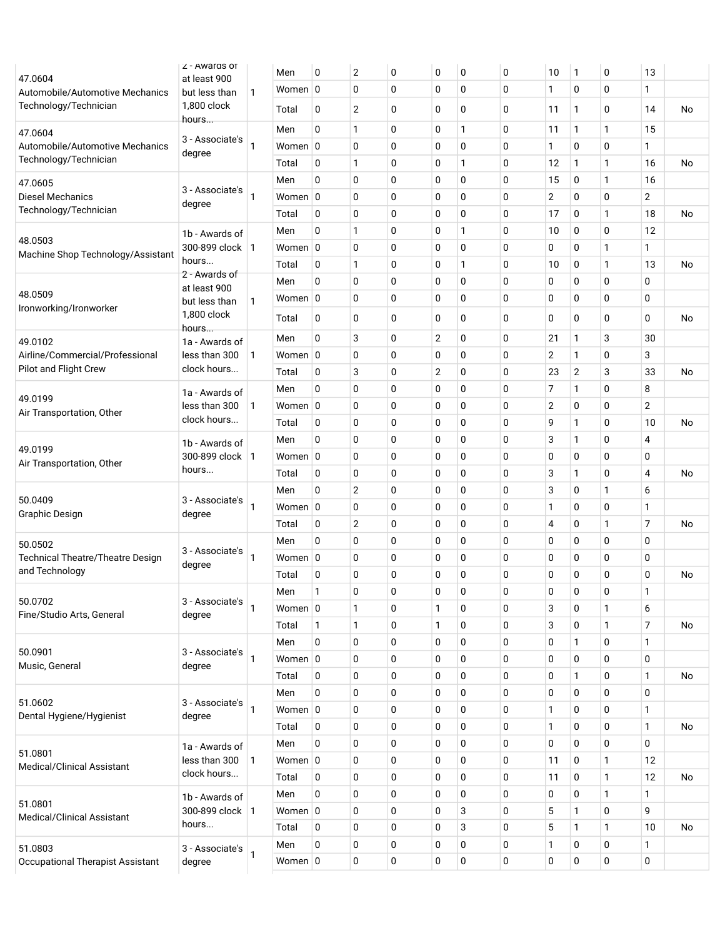|                                            | Z - Awards of                       |              | Men        | 0            | $\mathbf{2}$   | 0        | 0              | 0            | 0        | 10             | 1           | 0        | 13             |    |
|--------------------------------------------|-------------------------------------|--------------|------------|--------------|----------------|----------|----------------|--------------|----------|----------------|-------------|----------|----------------|----|
| 47.0604<br>Automobile/Automotive Mechanics | at least 900<br>but less than       | 1            | Women $ 0$ |              | $\mathbf 0$    | 0        | 0              | 0            | 0        | 1              | 0           | 0        | 1              |    |
| Technology/Technician                      | 1,800 clock<br>hours                |              | Total      | 0            | $\overline{2}$ | 0        | 0              | 0            | 0        | 11             | 1           | 0        | 14             | No |
| 47.0604                                    |                                     |              | Men        | 0            | $\mathbf{1}$   | 0        | 0              | 1            | 0        | 11             | 1           | 1        | 15             |    |
| Automobile/Automotive Mechanics            | 3 - Associate's<br>degree           | 1            | Women $ 0$ |              | $\mathbf 0$    | 0        | 0              | $\pmb{0}$    | 0        | $\mathbf{1}$   | 0           | 0        | 1              |    |
| Technology/Technician                      |                                     |              | Total      | 0            | 1              | 0        | 0              | 1            | 0        | 12             | 1           | 1        | 16             | No |
| 47.0605                                    |                                     |              | Men        | 0            | 0              | 0        | 0              | 0            | 0        | 15             | 0           | 1        | 16             |    |
| <b>Diesel Mechanics</b>                    | 3 - Associate's                     |              | Women $ 0$ |              | 0              | 0        | 0              | 0            | 0        | $\overline{c}$ | 0           | 0        | 2              |    |
| Technology/Technician                      | degree                              |              | Total      | 0            | $\mathbf 0$    | 0        | 0              | 0            | 0        | 17             | 0           | 1        | 18             | No |
|                                            | 1b - Awards of                      |              | Men        | 0            | 1              | 0        | 0              | 1            | 0        | 10             | 0           | 0        | 12             |    |
| 48.0503                                    | 300-899 clock   1                   |              | Women $ 0$ |              | $\mathbf 0$    | 0        | 0              | 0            | 0        | 0              | 0           | 1        | 1              |    |
| Machine Shop Technology/Assistant          | hours                               |              | Total      | 0            | 1              | 0        | 0              | $\mathbf{1}$ | 0        | 10             | 0           | 1        | 13             | No |
|                                            | 2 - Awards of                       |              | Men        | $\mathbf{0}$ | $\mathbf 0$    | 0        | 0              | $\pmb{0}$    | 0        | 0              | 0           | 0        | 0              |    |
| 48.0509<br>Ironworking/Ironworker          | at least 900<br>but less than       | 1            | Women $ 0$ |              | $\mathbf 0$    | 0        | 0              | 0            | 0        | 0              | $\mathbf 0$ | 0        | 0              |    |
|                                            | 1,800 clock<br>hours                |              | Total      | 0            | 0              | 0        | 0              | 0            | 0        | 0              | 0           | 0        | 0              | No |
| 49.0102                                    | 1a - Awards of                      |              | Men        | 0            | 3              | 0        | $\overline{c}$ | $\pmb{0}$    | 0        | 21             | 1           | 3        | 30             |    |
| Airline/Commercial/Professional            | less than 300                       | 1            | Women 0    |              | $\mathbf 0$    | 0        | 0              | $\mathbf 0$  | 0        | $\overline{2}$ | 1           | 0        | 3              |    |
| Pilot and Flight Crew                      | clock hours                         |              | Total      | 0            | 3              | 0        | $\overline{c}$ | 0            | 0        | 23             | 2           | 3        | 33             | No |
|                                            | 1a - Awards of                      |              | Men        | 0            | 0              | 0        | 0              | 0            | 0        | 7              | 1           | 0        | 8              |    |
| 49.0199                                    | less than 300                       | 1            | Women $ 0$ |              | $\mathbf 0$    | 0        | 0              | 0            | 0        | 2              | 0           | 0        | $\mathbf 2$    |    |
| Air Transportation, Other                  | clock hours                         |              | Total      | 0            | $\mathbf 0$    | 0        | 0              | 0            | 0        | 9              | 1           | 0        | 10             | No |
|                                            | 1b - Awards of                      |              | Men        | 0            | $\mathbf 0$    | 0        | 0              | 0            | 0        | 3              | 1           | 0        | 4              |    |
| 49.0199                                    | 300-899 clock   1                   |              | Women $ 0$ |              | 0              | 0        | 0              | 0            | 0        | 0              | 0           | 0        | 0              |    |
| Air Transportation, Other                  | hours                               |              | Total      | 0            | 0              | 0        | 0              | 0            | 0        | 3              | 1           | 0        | 4              | No |
|                                            |                                     |              | Men        | 0            | $\overline{2}$ | 0        | 0              | 0            | 0        | 3              | 0           | 1        | 6              |    |
| 50.0409                                    | 3 - Associate's                     | 1            | Women $ 0$ |              | 0              | 0        | 0              | 0            | 0        | 1              | 0           | 0        | 1              |    |
| Graphic Design                             | degree                              |              | Total      | 0            | $\overline{2}$ | 0        | 0              | $\mathbf 0$  | 0        | 4              | 0           | 1        | $\overline{7}$ | No |
| 50.0502                                    |                                     |              | Men        | 0            | $\mathbf 0$    | 0        | 0              | 0            | 0        | 0              | 0           | 0        | 0              |    |
| <b>Technical Theatre/Theatre Design</b>    | 3 - Associate's                     | 1            | Women $ 0$ |              | $\mathbf 0$    | 0        | 0              | 0            | 0        | 0              | 0           | 0        | 0              |    |
| and Technology                             | degree                              |              | Total      | 0            | $\mathbf 0$    | 0        | 0              | 0            | 0        | 0              | 0           | 0        | 0              | No |
|                                            |                                     |              | Men        | 1            | $\Omega$       | $\Omega$ | $\Omega$       | 0            | $\Omega$ | <sup>0</sup>   | $\Omega$    | $\Omega$ | 1              |    |
| 50.0702                                    | 3 - Associate's                     | $\mathbf{1}$ | Women $ 0$ |              | 1              | 0        | 1              | 0            | 0        | 3              | 0           | 1        | 6              |    |
| Fine/Studio Arts, General                  | degree                              |              | Total      | 1            | 1              | 0        | 1              | 0            | 0        | 3              | 0           | 1        | $\overline{7}$ | No |
|                                            |                                     |              | Men        | 0            | 0              | 0        | 0              | 0            | 0        | 0              | 1           | 0        | 1              |    |
| 50.0901                                    | 3 - Associate's                     |              | Women 0    |              | $\pmb{0}$      | 0        | 0              | 0            | 0        | 0              | 0           | 0        | $\pmb{0}$      |    |
| Music, General                             | degree                              |              | Total      | 0            | 0              | 0        | 0              | 0            | 0        | 0              | 1           | 0        | $\mathbf{1}$   | No |
|                                            |                                     |              | Men        | 0            | 0              | 0        | 0              | 0            | 0        | 0              | 0           | 0        | 0              |    |
| 51.0602                                    | 3 - Associate's                     | 1            | Women $ 0$ |              | 0              | 0        | 0              | 0            | 0        | 1              | 0           | 0        | 1              |    |
| Dental Hygiene/Hygienist                   | degree                              |              | Total      | 0            | 0              | 0        | 0              | 0            | 0        | 1              | 0           | 0        | 1              | No |
|                                            |                                     |              | Men        | $\mathbf 0$  | 0              | 0        | 0              | 0            | 0        | 0              | 0           | 0        | 0              |    |
| 51.0801                                    | 1a - Awards of<br>less than 300     | $\vert$ 1    | Women $ 0$ |              | 0              | 0        | $\mathbf 0$    | 0            | 0        | 11             | $\mathbf 0$ | 1        | 12             |    |
| <b>Medical/Clinical Assistant</b>          | clock hours                         |              | Total      | 0            | 0              | 0        | 0              | 0            | 0        | 11             | 0           | 1        | 12             | No |
|                                            |                                     |              | Men        | 0            | $\pmb{0}$      | 0        | $\pmb{0}$      | 0            | 0        | 0              | 0           | 1        | $\mathbf{1}$   |    |
| 51.0801                                    | 1b - Awards of<br>300-899 clock   1 |              | Women $ 0$ |              | 0              | 0        | 0              | 3            | 0        | 5              | 1           | 0        | 9              |    |
| <b>Medical/Clinical Assistant</b>          | hours                               |              | Total      | 0            | 0              | 0        | 0              | 3            | 0        | 5              | 1           | 1        | 10             | No |
|                                            |                                     |              | Men        | 0            | 0              | 0        | 0              | 0            | 0        | 1              | 0           | 0        | 1              |    |
| 51.0803                                    | 3 - Associate's                     | 1            | Women $ 0$ |              | 0              | 0        | $\pmb{0}$      | $\mathbf 0$  | 0        | 0              | 0           | 0        | $\pmb{0}$      |    |
| Occupational Therapist Assistant           | degree                              |              |            |              |                |          |                |              |          |                |             |          |                |    |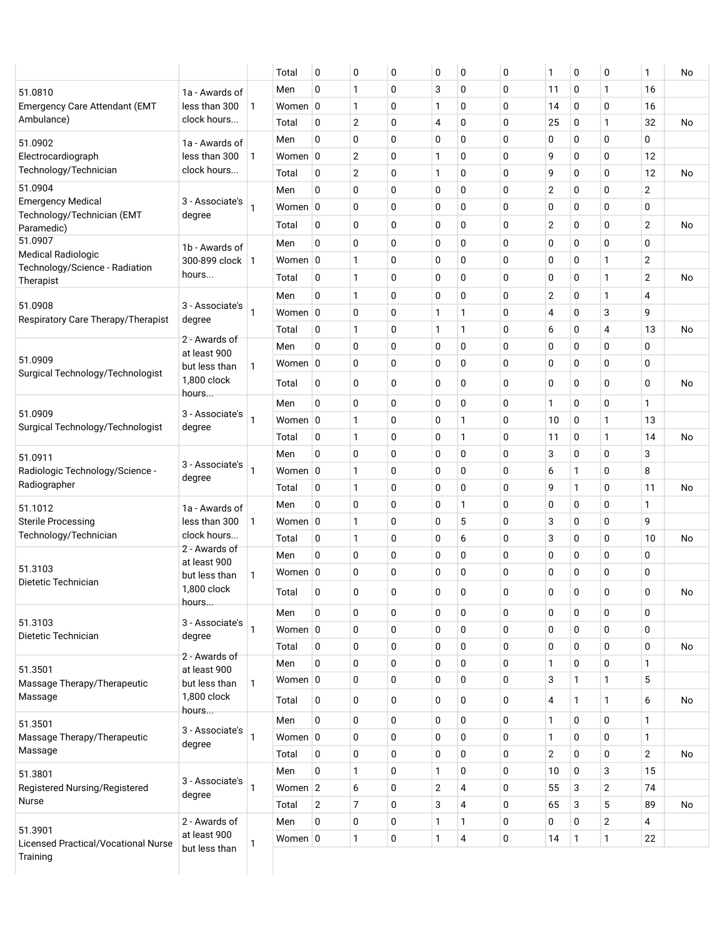|                                                             |                                 |   | Total      | 0            | $\mathbf 0$    | 0           | 0            | 0            | 0           | 1              | 0            | 0              | 1                | No        |
|-------------------------------------------------------------|---------------------------------|---|------------|--------------|----------------|-------------|--------------|--------------|-------------|----------------|--------------|----------------|------------------|-----------|
| 51.0810                                                     | 1a - Awards of                  |   | Men        | 0            | $\mathbf{1}$   | $\mathbf 0$ | 3            | 0            | 0           | 11             | 0            | 1              | 16               |           |
| <b>Emergency Care Attendant (EMT</b>                        | less than 300                   | 1 | Women 0    |              | $\mathbf{1}$   | $\mathbf 0$ | 1            | 0            | 0           | 14             | 0            | 0              | 16               |           |
| Ambulance)                                                  | clock hours                     |   | Total      | 0            | $\overline{2}$ | 0           | 4            | 0            | 0           | 25             | 0            | 1              | 32               | No        |
| 51.0902                                                     | 1a - Awards of                  |   | Men        | 0            | $\mathbf 0$    | $\mathbf 0$ | 0            | 0            | 0           | 0              | 0            | 0              | 0                |           |
| Electrocardiograph                                          | less than 300                   | 1 | Women 0    |              | $\overline{2}$ | 0           | 1            | 0            | 0           | 9              | 0            | 0              | 12               |           |
| Technology/Technician                                       | clock hours                     |   | Total      | 0            | $\overline{2}$ | 0           | 1            | 0            | 0           | 9              | 0            | 0              | 12               | No        |
| 51.0904                                                     |                                 |   | Men        | 0            | $\mathbf 0$    | $\mathbf 0$ | 0            | 0            | 0           | $\overline{2}$ | 0            | 0              | $\boldsymbol{2}$ |           |
| <b>Emergency Medical</b><br>Technology/Technician (EMT      | 3 - Associate's<br>degree       |   | Women 0    |              | $\mathbf 0$    | 0           | 0            | 0            | 0           | 0              | 0            | 0              | 0                |           |
| Paramedic)                                                  |                                 |   | Total      | 0            | $\mathbf 0$    | $\mathbf 0$ | 0            | 0            | 0           | $\overline{2}$ | 0            | 0              | $\overline{2}$   | <b>No</b> |
| 51.0907                                                     | 1b - Awards of                  |   | Men        | 0            | $\mathbf 0$    | $\mathbf 0$ | 0            | 0            | 0           | 0              | 0            | 0              | $\mathbf 0$      |           |
| <b>Medical Radiologic</b><br>Technology/Science - Radiation | 300-899 clock   1               |   | Women 0    |              | $\mathbf{1}$   | 0           | 0            | 0            | 0           | 0              | 0            | 1              | $\overline{2}$   |           |
| Therapist                                                   | hours                           |   | Total      | 0            | $\mathbf{1}$   | 0           | 0            | 0            | 0           | 0              | 0            | 1              | 2                | No        |
|                                                             |                                 |   | Men        | 0            | 1              | 0           | 0            | 0            | 0           | 2              | 0            | 1              | 4                |           |
| 51.0908                                                     | 3 - Associate's<br>degree       | 1 | Women 0    |              | $\mathbf 0$    | 0           | 1            | 1            | 0           | 4              | 0            | 3              | 9                |           |
| Respiratory Care Therapy/Therapist                          |                                 |   | Total      | 0            | $\mathbf{1}$   | 0           | 1            | $\mathbf{1}$ | 0           | 6              | 0            | 4              | 13               | No        |
|                                                             | 2 - Awards of<br>at least 900   |   | Men        | 0            | $\mathbf 0$    | $\mathbf 0$ | 0            | 0            | 0           | 0              | 0            | 0              | $\mathbf 0$      |           |
| 51.0909                                                     | but less than                   | 1 | Women 0    |              | 0              | 0           | 0            | 0            | 0           | 0              | 0            | 0              | $\mathbf 0$      |           |
| Surgical Technology/Technologist                            | 1,800 clock                     |   | Total      | 0            | 0              | 0           | 0            | 0            | 0           | 0              | 0            | 0              | $\mathbf 0$      | No        |
|                                                             | hours                           |   | Men        | 0            | $\mathbf 0$    | 0           | 0            | 0            | 0           | 1              | 0            | 0              | 1                |           |
| 51.0909                                                     | 3 - Associate's                 | 1 | Women 0    |              | $\mathbf{1}$   | 0           | 0            | $\mathbf{1}$ | 0           | 10             | 0            | 1              | 13               |           |
| Surgical Technology/Technologist                            | degree                          |   | Total      | 0            | 1              | 0           | 0            | $\mathbf{1}$ | 0           | 11             | 0            | 1              | 14               | <b>No</b> |
|                                                             |                                 |   | Men        | 0            | $\mathbf 0$    | 0           | 0            | 0            | 0           | 3              | 0            | 0              | 3                |           |
| 51.0911<br>Radiologic Technology/Science -                  | 3 - Associate's                 | 1 | Women 0    |              | $\mathbf{1}$   | 0           | 0            | 0            | 0           | 6              | 1            | 0              | 8                |           |
| Radiographer                                                | degree                          |   | Total      | 0            | 1              | $\mathbf 0$ | 0            | 0            | 0           | 9              | $\mathbf{1}$ | 0              | 11               | No        |
| 51.1012                                                     |                                 |   | Men        | 0            | $\mathbf 0$    | 0           | 0            | 1            | 0           | 0              | 0            | 0              | 1                |           |
| <b>Sterile Processing</b>                                   | 1a - Awards of<br>less than 300 | 1 | Women 0    |              | $\mathbf{1}$   | 0           | 0            | 5            | 0           | 3              | 0            | 0              | 9                |           |
| Technology/Technician                                       | clock hours                     |   | Total      | 0            | $\mathbf{1}$   | $\mathbf 0$ | 0            | 6            | 0           | 3              | 0            | 0              | 10               | No        |
|                                                             | 2 - Awards of                   |   | Men        | 0            | 0              | 0           | 0            | 0            | 0           | 0              | 0            | 0              | 0                |           |
| 51.3103                                                     | at least 900<br>but less than   | 1 | Women 0    |              | 0              | 0           | 0            | 0            | 0           | 0              | 0            | 0              | 0                |           |
| Dietetic Technician                                         | 1,800 clock                     |   | Total      | 0            | 0              | 0           | 0            | <sup>0</sup> | $\Omega$    | 0              | <sup>0</sup> | 0              | $\mathbf 0$      | No        |
|                                                             | hours                           |   |            |              |                |             |              |              |             |                |              |                |                  |           |
| 51.3103                                                     | 3 - Associate's                 |   | Men        | 0            | 0              | 0           | 0            | 0            | 0           | 0              | 0            | 0              | 0                |           |
| Dietetic Technician                                         | degree                          | 1 | Women $ 0$ |              | $\mathbf 0$    | 0           | 0            | 0            | 0           | 0              | 0            | 0              | 0                |           |
|                                                             | 2 - Awards of                   |   | Total      | 0            | $\mathbf 0$    | 0           | 0            | 0            | 0           | 0              | 0            | 0              | 0                | No        |
| 51.3501                                                     | at least 900                    |   | Men        | 0            | $\mathbf 0$    | 0           | 0            | 0            | 0           | $\mathbf{1}$   | 0            | 0              | 1                |           |
| Massage Therapy/Therapeutic                                 | but less than                   | 1 | Women 0    |              | $\mathbf 0$    | 0           | 0            | 0            | $\mathbf 0$ | 3              | $\mathbf{1}$ | 1              | 5                |           |
| Massage                                                     | 1,800 clock<br>hours            |   | Total      | 0            | $\mathbf 0$    | 0           | 0            | 0            | 0           | 4              | $\mathbf{1}$ | 1              | 6                | No        |
| 51.3501                                                     |                                 |   | Men        | 0            | $\mathbf 0$    | 0           | 0            | 0            | 0           | $\mathbf{1}$   | 0            | 0              | 1                |           |
| Massage Therapy/Therapeutic                                 | 3 - Associate's<br>degree       | 1 | Women $ 0$ |              | $\mathbf 0$    | 0           | $\pmb{0}$    | 0            | $\pmb{0}$   | $\mathbf{1}$   | 0            | 0              | $\mathbf{1}$     |           |
| Massage                                                     |                                 |   | Total      | 0            | $\mathbf 0$    | 0           | 0            | 0            | 0           | $\overline{2}$ | 0            | 0              | $\mathbf{2}$     | No        |
| 51.3801                                                     |                                 |   | Men        | 0            | $\mathbf{1}$   | 0           | 1            | 0            | 0           | 10             | 0            | 3              | 15               |           |
| Registered Nursing/Registered                               | 3 - Associate's<br>degree       | 1 | Women 2    |              | 6              | 0           | $\sqrt{2}$   | 4            | $\pmb{0}$   | 55             | 3            | $\overline{c}$ | 74               |           |
| Nurse                                                       |                                 |   | Total      | $\mathbf{2}$ | $\overline{7}$ | 0           | 3            | 4            | 0           | 65             | 3            | 5              | 89               | No        |
|                                                             | 2 - Awards of                   |   | Men        | 0            | $\pmb{0}$      | 0           | 1            | $\mathbf{1}$ | 0           | 0              | 0            | 2              | $\overline{4}$   |           |
|                                                             |                                 | 1 | Women $ 0$ |              | $\mathbf{1}$   | $\pmb{0}$   | $\mathbf{1}$ | 4            | 0           | 14             | 1            | 1              | 22               |           |
| 51.3901<br>Licensed Practical/Vocational Nurse<br>Training  | at least 900<br>but less than   |   |            |              |                |             |              |              |             |                |              |                |                  |           |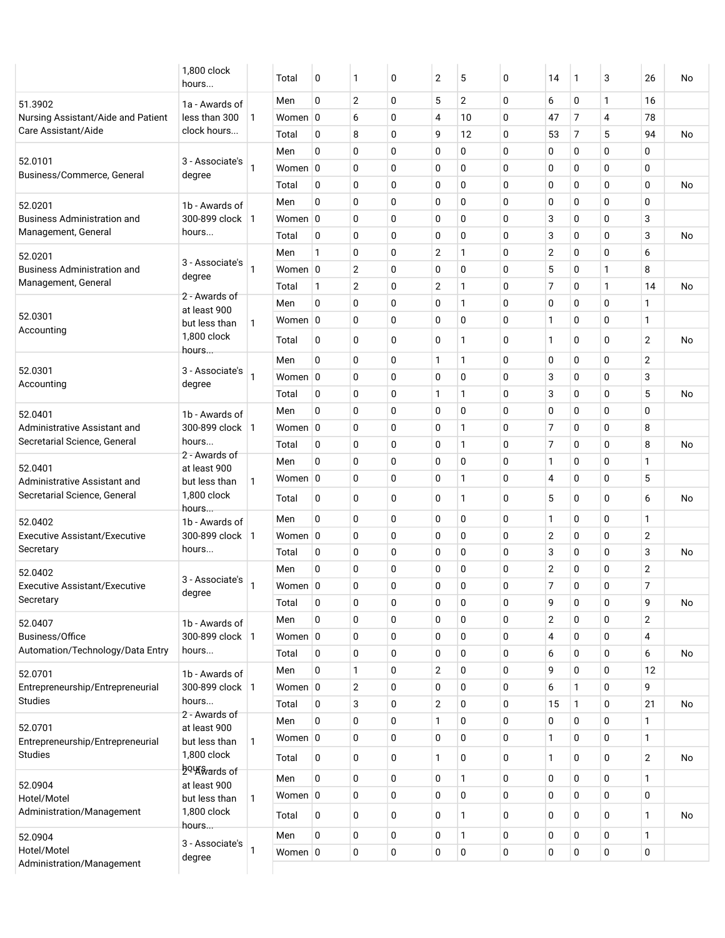|                                                              | 1,800 clock<br>hours                |              | Total       | 0            | 1              | 0            | $\overline{2}$ | 5              | 0 | 14             | 1 | 3 | 26             | No        |
|--------------------------------------------------------------|-------------------------------------|--------------|-------------|--------------|----------------|--------------|----------------|----------------|---|----------------|---|---|----------------|-----------|
| 51.3902                                                      | 1a - Awards of                      |              | Men         | 0            | $\overline{2}$ | $\mathbf{0}$ | 5              | $\overline{2}$ | 0 | 6              | 0 | 1 | 16             |           |
| Nursing Assistant/Aide and Patient                           | less than 300                       | $\mathbf{1}$ | Women $ 0$  |              | 6              | $\mathbf 0$  | 4              | 10             | 0 | 47             | 7 | 4 | 78             |           |
| Care Assistant/Aide                                          | clock hours                         |              | Total       | 0            | 8              | $\mathbf 0$  | 9              | 12             | 0 | 53             | 7 | 5 | 94             | <b>No</b> |
|                                                              |                                     |              | Men         | 0            | $\mathbf 0$    | $\mathbf 0$  | 0              | 0              | 0 | 0              | 0 | 0 | 0              |           |
| 52.0101<br>Business/Commerce, General                        | 3 - Associate's<br>degree           | 1            | Women 0     |              | $\mathbf 0$    | $\mathbf 0$  | 0              | 0              | 0 | 0              | 0 | 0 | 0              |           |
|                                                              |                                     |              | Total       | 0            | $\mathbf 0$    | $\mathbf 0$  | 0              | 0              | 0 | 0              | 0 | 0 | 0              | No        |
| 52.0201                                                      | 1b - Awards of                      |              | Men         | 0            | 0              | 0            | 0              | 0              | 0 | 0              | 0 | 0 | 0              |           |
| <b>Business Administration and</b>                           | 300-899 clock   1                   |              | Women 0     |              | $\mathbf 0$    | $\mathbf 0$  | 0              | 0              | 0 | 3              | 0 | 0 | 3              |           |
| Management, General                                          | hours                               |              | Total       | 0            | $\mathbf 0$    | $\mathbf 0$  | 0              | 0              | 0 | 3              | 0 | 0 | 3              | No        |
| 52.0201                                                      |                                     |              | Men         | 1            | $\mathbf 0$    | $\mathbf 0$  | $\overline{2}$ | 1              | 0 | $\overline{2}$ | 0 | 0 | 6              |           |
| <b>Business Administration and</b>                           | 3 - Associate's<br>degree           | $\mathbf{1}$ | Women 0     |              | $\overline{2}$ | $\Omega$     | 0              | 0              | 0 | 5              | 0 | 1 | 8              |           |
| Management, General                                          |                                     |              | Total       | 1            | $\overline{2}$ | $\mathbf 0$  | $\overline{2}$ | 1              | 0 | 7              | 0 | 1 | 14             | No        |
|                                                              | 2 - Awards of<br>at least 900       |              | Men         | 0            | $\mathbf 0$    | $\mathbf 0$  | 0              | 1              | 0 | 0              | 0 | 0 | 1              |           |
| 52.0301                                                      | but less than                       | 1            | Women 0     |              | $\mathbf 0$    | $\mathbf 0$  | 0              | 0              | 0 | $\mathbf{1}$   | 0 | 0 | 1              |           |
| Accounting                                                   | 1,800 clock                         |              | Total       | $\mathbf{0}$ | $\Omega$       | $\Omega$     | 0              | 1              | 0 | 1              | 0 | 0 | $\overline{2}$ | No        |
|                                                              | hours                               |              | Men         | 0            | $\mathbf 0$    | $\mathbf 0$  | 1              | 1              | 0 | 0              | 0 | 0 | $\overline{2}$ |           |
| 52.0301                                                      | 3 - Associate's                     | $\mathbf{1}$ | Women $ 0$  |              | $\mathbf 0$    | $\mathbf 0$  | 0              | 0              | 0 | 3              | 0 | 0 | 3              |           |
| Accounting                                                   | degree                              |              | Total       | 0            | $\mathbf 0$    | $\mathbf 0$  | 1              | 1              | 0 | 3              | 0 | 0 | 5              | No        |
|                                                              |                                     |              | Men         | 0            | $\mathbf 0$    | $\mathbf 0$  | 0              | 0              | 0 | 0              | 0 | 0 | 0              |           |
| 52.0401<br>Administrative Assistant and                      | 1b - Awards of<br>300-899 clock   1 |              | Women 0     |              | $\mathbf 0$    | $\mathbf 0$  | 0              | 1              | 0 | 7              | 0 | 0 | 8              |           |
| Secretarial Science, General                                 | hours                               |              | Total       | 0            | $\mathbf 0$    | $\mathbf 0$  | 0              | 1              | 0 | 7              | 0 | 0 | 8              | No        |
|                                                              | 2 - Awards of                       |              | Men         | $\Omega$     | $\mathbf 0$    | $\mathbf 0$  | 0              | 0              | 0 | 1              | 0 | 0 | 1              |           |
| 52.0401                                                      | at least 900                        |              | Women 0     |              | 0              | 0            | 0              | 1              | 0 | 4              | 0 | 0 | 5              |           |
| Administrative Assistant and<br>Secretarial Science, General | but less than<br>1,800 clock        | 1            | Total       | 0            | $\mathbf 0$    | $\mathbf 0$  | 0              | 1              | 0 | 5              | 0 | 0 | 6              | No        |
| 52.0402                                                      | hours<br>1b - Awards of             |              | Men         | 0            | $\mathbf 0$    | $\mathbf 0$  | 0              | 0              | 0 | $\mathbf{1}$   | 0 | 0 | 1              |           |
| <b>Executive Assistant/Executive</b>                         | 300-899 clock   1                   |              | Women 0     |              | 0              | 0            | 0              | 0              | 0 | $\overline{2}$ | 0 | 0 | $\overline{2}$ |           |
| Secretary                                                    | hours                               |              | Total       | 0            | $\mathbf 0$    | $\mathbf 0$  | 0              | 0              | 0 | 3              | 0 | 0 | 3              | No        |
| 52.0402                                                      |                                     |              | Men         | 0            | $\mathbf 0$    | $\mathbf 0$  | 0              | 0              | 0 | $\overline{2}$ | 0 | 0 | $\overline{2}$ |           |
| <b>Executive Assistant/Executive</b>                         | 3 - Associate's                     | 1            | Women 0     |              | $\mathbf 0$    | $\mathbf 0$  | 0              | 0              | 0 | 7              | 0 | 0 | 7              |           |
| Secretary                                                    | degree                              |              | Total       | 0            | 0              | $\mathbf 0$  | 0              | 0              | 0 | 9              | 0 | 0 | 9              | No        |
| 52.0407                                                      | 1b - Awards of                      |              | Men         | 0            | $\mathbf 0$    | $\mathbf 0$  | 0              | 0              | 0 | $\mathbf{2}$   | 0 | 0 | $\mathbf{2}$   |           |
| Business/Office                                              | 300-899 clock   1                   |              | Women $ 0$  |              | $\mathbf 0$    | $\mathbf 0$  | 0              | 0              | 0 | $\overline{4}$ | 0 | 0 | $\overline{4}$ |           |
| Automation/Technology/Data Entry                             | hours                               |              | Total       | 0            | $\mathbf 0$    | $\mathbf 0$  | 0              | 0              | 0 | 6              | 0 | 0 | 6              | No        |
| 52.0701                                                      | 1b - Awards of                      |              | Men         | 0            | 1              | 0            | $\overline{2}$ | 0              | 0 | 9              | 0 | 0 | 12             |           |
| Entrepreneurship/Entrepreneurial                             | 300-899 clock   1                   |              | Women 0     |              | $\overline{2}$ | $\mathbf 0$  | 0              | 0              | 0 | 6              | 1 | 0 | 9              |           |
| <b>Studies</b>                                               | hours                               |              | Total       | 0            | 3              | $\mathbf 0$  | $\mathbf{2}$   | 0              | 0 | 15             | 1 | 0 | 21             | No        |
|                                                              | 2 - Awards of                       |              | Men         | 0            | $\mathbf 0$    | $\mathbf 0$  | 1              | 0              | 0 | 0              | 0 | 0 | 1              |           |
| 52.0701<br>Entrepreneurship/Entrepreneurial                  | at least 900<br>but less than       | $\mathbf{1}$ | Women $ 0 $ |              | $\mathbf 0$    | $\mathbf 0$  | 0              | 0              | 0 | 1              | 0 | 0 | $\mathbf{1}$   |           |
| <b>Studies</b>                                               | 1,800 clock                         |              | Total       | 0            | $\mathbf 0$    | $\mathbf 0$  | 1              | 0              | 0 | 1              | 0 | 0 | $\mathbf{2}$   | No        |
|                                                              | <u>ђ</u> оцкуагасы                  |              | Men         | 0            | $\mathbf 0$    | $\mathbf 0$  | 0              | 1              | 0 | 0              | 0 | 0 | 1              |           |
| 52.0904                                                      | at least 900                        |              | Women $ 0 $ |              | 0              | $\mathbf 0$  | 0              | 0              | 0 | 0              | 0 | 0 | 0              |           |
| Hotel/Motel<br>Administration/Management                     | but less than<br>1,800 clock        | $\mathbf{1}$ |             |              |                |              |                |                |   |                |   |   |                |           |
|                                                              | hours                               |              | Total       | 0            | 0              | 0            | 0              | $\mathbf{1}$   | 0 | 0              | 0 | 0 | $\mathbf{1}$   | No        |
| 52.0904                                                      | 3 - Associate's                     |              | Men         | 0            | $\mathbf 0$    | $\mathbf 0$  | 0              | 1              | 0 | 0              | 0 | 0 | 1              |           |
| Hotel/Motel                                                  |                                     | 1            | Women $ 0$  |              | 0              | $\mathbf 0$  | 0              | 0              | 0 | 0              | 0 | 0 | 0              |           |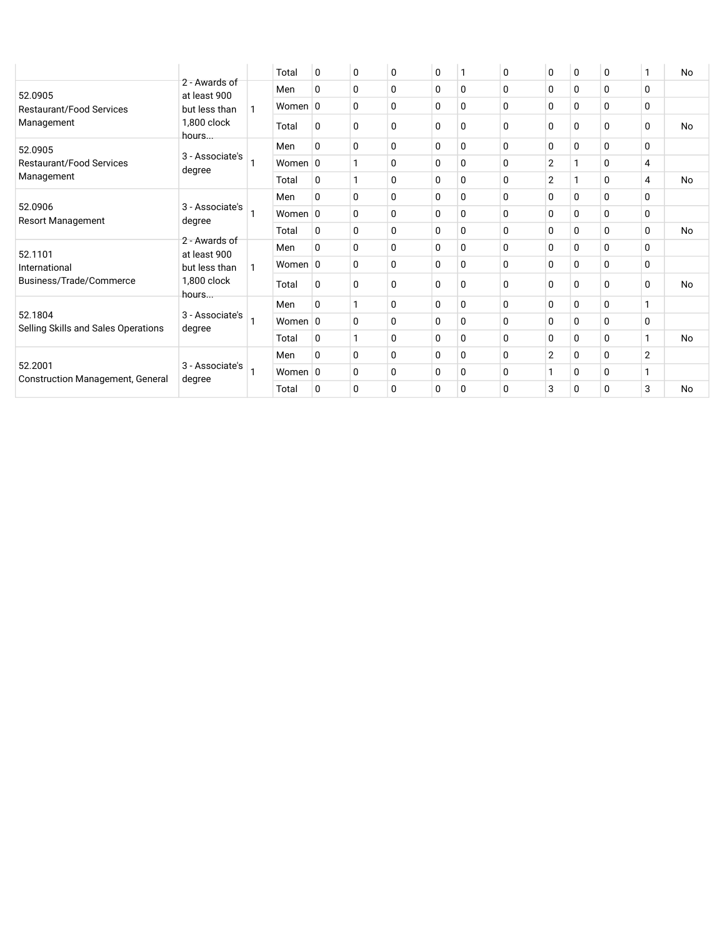|                                                    |                               |   | Total      | 0            | 0            | 0        | 0            | -1          | 0           | 0              | 0        | 0 | 1 | No        |
|----------------------------------------------------|-------------------------------|---|------------|--------------|--------------|----------|--------------|-------------|-------------|----------------|----------|---|---|-----------|
| 52.0905                                            | 2 - Awards of<br>at least 900 |   | Men        | 0            | 0            | 0        | 0            | 0           | 0           | 0              | 0        | 0 | 0 |           |
| <b>Restaurant/Food Services</b>                    | but less than                 | 1 | Women 0    |              | $\Omega$     | $\Omega$ | 0            | $\Omega$    | 0           | 0              | 0        | 0 | 0 |           |
| Management                                         | 1,800 clock<br>hours          |   | Total      | 0            | $\Omega$     | $\Omega$ | 0            | $\mathbf 0$ | 0           | $\Omega$       | 0        | 0 | 0 | <b>No</b> |
| 52.0905                                            |                               |   | Men        | 0            | $\Omega$     | $\Omega$ | 0            | 0           | $\Omega$    | 0              | 0        | 0 | 0 |           |
| <b>Restaurant/Food Services</b>                    | 3 - Associate's<br>degree     |   | Women $ 0$ |              |              | $\Omega$ | $\mathbf{0}$ | $\Omega$    | 0           | $\overline{2}$ |          | 0 | 4 |           |
| Management                                         |                               |   | Total      | $\Omega$     | $\mathbf{1}$ | $\Omega$ | 0            | 0           | $\Omega$    | $\overline{2}$ |          | 0 | 4 | No        |
|                                                    |                               |   | Men        | 0            | $\Omega$     | 0        | 0            | 0           | $\Omega$    | 0              | 0        | 0 | 0 |           |
| 52.0906<br>Resort Management                       | 3 - Associate's<br>degree     |   | Women $ 0$ |              | $\mathbf{0}$ | $\Omega$ | 0            | $\Omega$    | $\Omega$    | 0              | $\Omega$ | 0 | 0 |           |
|                                                    |                               |   | Total      | 0            | $\Omega$     | $\Omega$ | 0            | 0           | 0           | 0              | 0        | 0 | 0 | No        |
| 52.1101                                            | 2 - Awards of<br>at least 900 |   | Men        | 0            | $\Omega$     | $\Omega$ | 0            | $\Omega$    | 0           | 0              | 0        | 0 | 0 |           |
| International                                      | but less than                 | 1 | Women $ 0$ |              | $\Omega$     | 0        | 0            | $\mathbf 0$ | $\Omega$    | 0              | 0        | 0 | 0 |           |
| Business/Trade/Commerce                            | 1,800 clock<br>hours          |   | Total      | 0            | 0            | $\Omega$ | 0            | 0           | 0           | 0              | 0        | 0 | 0 | No        |
|                                                    |                               |   | Men        | $\Omega$     | 1            | 0        | 0            | 0           | $\Omega$    | 0              | 0        | 0 | 1 |           |
| 52.1804<br>Selling Skills and Sales Operations     | 3 - Associate's<br>degree     |   | Women $ 0$ |              | 0            | 0        | 0            | 0           | $\mathbf 0$ | 0              | 0        | 0 | 0 |           |
|                                                    |                               |   | Total      | 0            | 1            | $\Omega$ | 0            | $\Omega$    | $\Omega$    | 0              | 0        | 0 | 1 | No        |
|                                                    |                               |   | Men        | 0            | $\Omega$     | $\Omega$ | 0            | $\Omega$    | $\Omega$    | 2              | 0        | 0 | 2 |           |
| 52.2001<br><b>Construction Management, General</b> | 3 - Associate's               |   | Women $ 0$ |              | 0            | $\Omega$ | 0            | $\Omega$    | 0           | 1              | 0        | 0 | 1 |           |
|                                                    | degree                        |   | Total      | $\mathbf{0}$ | 0            | 0        | 0            | $\mathbf 0$ | 0           | 3              | 0        | 0 | 3 | <b>No</b> |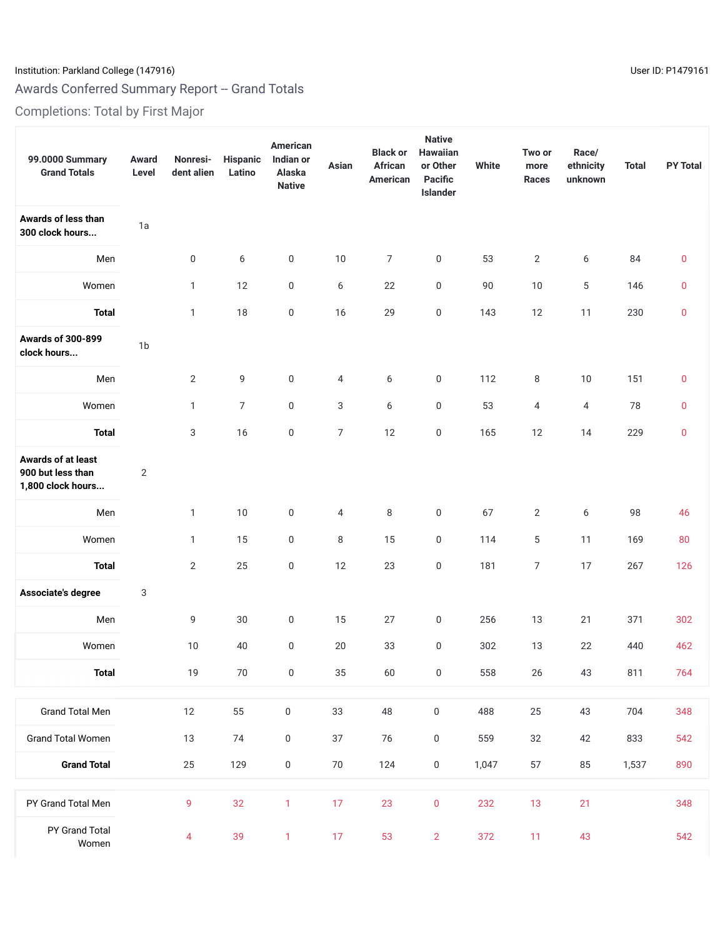# Institution: Parkland College (147916) Contract the USE of the USE of the USE of the USE of the USE of the USE

# Awards Conferred Summary Report -- Grand Totals

Completions: Total by First Major

| 99.0000 Summary<br><b>Grand Totals</b>                       | Award<br>Level | Nonresi-<br>dent alien | Hispanic<br>Latino | American<br>Indian or<br>Alaska<br><b>Native</b> | Asian          | <b>Black or</b><br>African<br>American | <b>Native</b><br>Hawaiian<br>or Other<br><b>Pacific</b><br>Islander | <b>White</b> | Two or<br>more<br><b>Races</b> | Race/<br>ethnicity<br>unknown | <b>Total</b> | <b>PY Total</b> |
|--------------------------------------------------------------|----------------|------------------------|--------------------|--------------------------------------------------|----------------|----------------------------------------|---------------------------------------------------------------------|--------------|--------------------------------|-------------------------------|--------------|-----------------|
| Awards of less than<br>300 clock hours                       | 1a             |                        |                    |                                                  |                |                                        |                                                                     |              |                                |                               |              |                 |
| Men                                                          |                | 0                      | 6                  | $\boldsymbol{0}$                                 | $10$           | 7                                      | $\boldsymbol{0}$                                                    | 53           | $\mathbf{2}$                   | 6                             | 84           | $\mathbf 0$     |
| Women                                                        |                | $\mathbf{1}$           | 12                 | 0                                                | 6              | 22                                     | $\boldsymbol{0}$                                                    | 90           | 10                             | 5                             | 146          | $\mathbf 0$     |
| <b>Total</b>                                                 |                | $\mathbf{1}$           | 18                 | $\boldsymbol{0}$                                 | 16             | 29                                     | $\boldsymbol{0}$                                                    | 143          | 12                             | 11                            | 230          | $\pmb{0}$       |
| <b>Awards of 300-899</b><br>clock hours                      | 1 <sub>b</sub> |                        |                    |                                                  |                |                                        |                                                                     |              |                                |                               |              |                 |
| Men                                                          |                | $\mathbf{2}$           | 9                  | $\boldsymbol{0}$                                 | 4              | 6                                      | $\boldsymbol{0}$                                                    | 112          | 8                              | 10                            | 151          | $\bf{0}$        |
| Women                                                        |                | $\mathbf{1}$           | $\overline{7}$     | 0                                                | 3              | 6                                      | 0                                                                   | 53           | 4                              | 4                             | 78           | $\bf{0}$        |
| <b>Total</b>                                                 |                | 3                      | 16                 | $\boldsymbol{0}$                                 | $\overline{7}$ | 12                                     | $\boldsymbol{0}$                                                    | 165          | 12                             | 14                            | 229          | $\bf{0}$        |
| Awards of at least<br>900 but less than<br>1,800 clock hours | $\mathbf{2}$   |                        |                    |                                                  |                |                                        |                                                                     |              |                                |                               |              |                 |
| Men                                                          |                | $\mathbf{1}$           | 10                 | 0                                                | 4              | 8                                      | $\boldsymbol{0}$                                                    | 67           | $\mathbf{2}$                   | 6                             | 98           | 46              |
| Women                                                        |                | $\mathbf{1}$           | 15                 | 0                                                | 8              | 15                                     | 0                                                                   | 114          | 5                              | 11                            | 169          | 80              |
| <b>Total</b>                                                 |                | $\overline{2}$         | 25                 | 0                                                | 12             | 23                                     | 0                                                                   | 181          | 7                              | 17                            | 267          | 126             |
| Associate's degree                                           | 3              |                        |                    |                                                  |                |                                        |                                                                     |              |                                |                               |              |                 |
| Men                                                          |                | 9                      | 30                 | $\boldsymbol{0}$                                 | 15             | 27                                     | 0                                                                   | 256          | 13                             | 21                            | 371          | 302             |
| Women                                                        |                | 10                     | 40                 | $\boldsymbol{0}$                                 | 20             | 33                                     | 0                                                                   | 302          | 13                             | 22                            | 440          | 462             |
| <b>Total</b>                                                 |                | $19$                   | $70\,$             | $\boldsymbol{0}$                                 | 35             | 60                                     | $\boldsymbol{0}$                                                    | 558          | $26\,$                         | 43                            | 811          | 764             |
| <b>Grand Total Men</b>                                       |                | 12                     | 55                 | $\mathsf 0$                                      | 33             | 48                                     | $\boldsymbol{0}$                                                    | 488          | 25                             | 43                            | 704          | 348             |
| <b>Grand Total Women</b>                                     |                | 13                     | 74                 | $\boldsymbol{0}$                                 | 37             | 76                                     | $\pmb{0}$                                                           | 559          | 32                             | 42                            | 833          | 542             |
| <b>Grand Total</b>                                           |                | 25                     | 129                | $\mathsf 0$                                      | 70             | 124                                    | $\boldsymbol{0}$                                                    | 1,047        | 57                             | 85                            | 1,537        | 890             |
| PY Grand Total Men                                           |                | 9                      | 32                 | 1                                                | 17             | 23                                     | $\pmb{0}$                                                           | 232          | 13                             | 21                            |              | 348             |
| PY Grand Total<br>Women                                      |                | 4                      | 39                 | $\mathbf{1}$                                     | 17             | 53                                     | $\overline{2}$                                                      | 372          | 11                             | 43                            |              | 542             |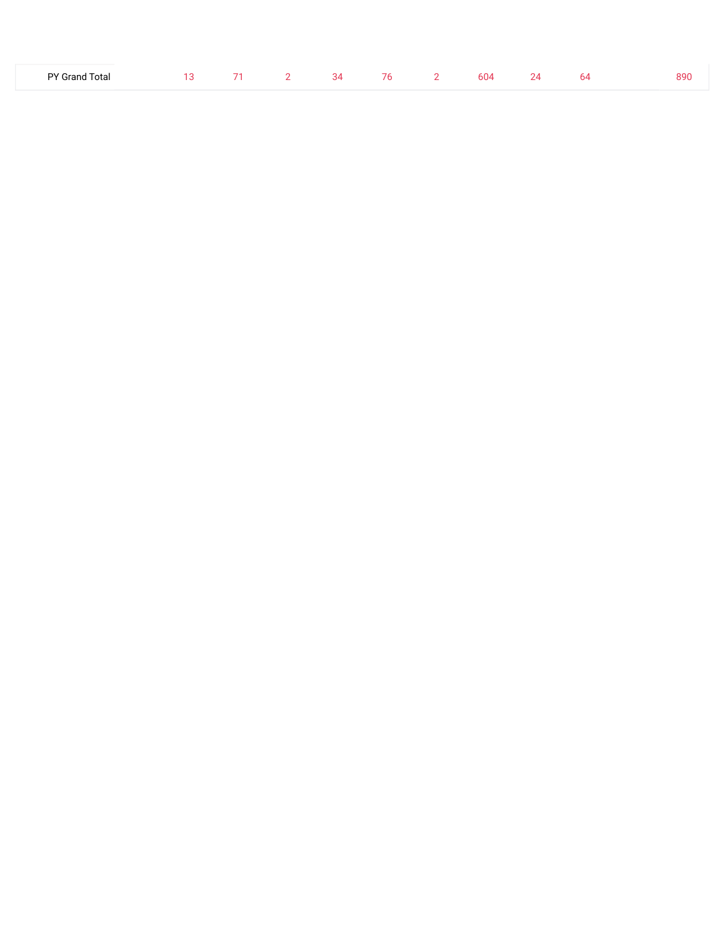| PY Grand Total | 1 O |  | 34 |  | 76 2 604 | 2Λ. | n/I | 890 |
|----------------|-----|--|----|--|----------|-----|-----|-----|
|                |     |  |    |  |          |     |     |     |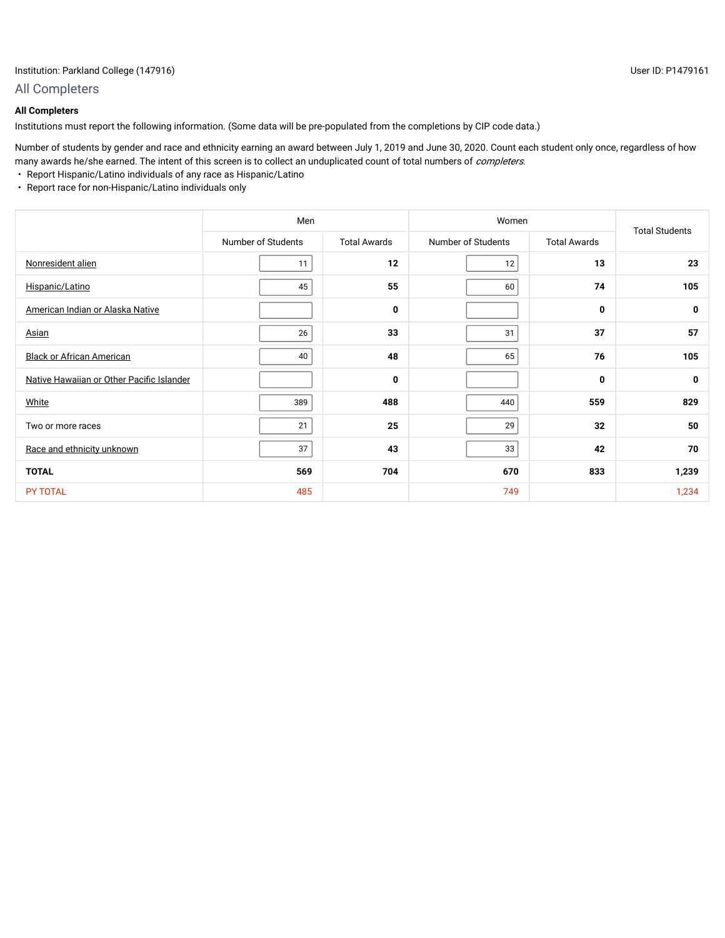## All Completers

## **All Completers**

Institutions must report the following information. (Some data will be pre-populated from the completions by CIP code data.)

Number of students by gender and race and ethnicity earning an award between July 1, 2019 and June 30, 2020. Count each student only once, regardless of how many awards he/she earned. The intent of this screen is to collect an unduplicated count of total numbers of *completers*.

- Report Hispanic/Latino individuals of any race as Hispanic/Latino
- Report race for non-Hispanic/Latino individuals only

|                                           | Men                |                     | Women              |                     | <b>Total Students</b> |
|-------------------------------------------|--------------------|---------------------|--------------------|---------------------|-----------------------|
|                                           | Number of Students | <b>Total Awards</b> | Number of Students | <b>Total Awards</b> |                       |
| Nonresident alien                         | 11                 | 12                  | 12                 | 13                  | 23                    |
| Hispanic/Latino                           | 45                 | 55                  | 60                 | 74                  | 105                   |
| American Indian or Alaska Native          |                    | 0                   |                    | 0                   | 0                     |
| Asian                                     | 26                 | 33                  | 31                 | 37                  | 57                    |
| <b>Black or African American</b>          | 40                 | 48                  | 65                 | 76                  | 105                   |
| Native Hawaiian or Other Pacific Islander |                    | $\mathbf 0$         |                    | 0                   | 0                     |
| White                                     | 389                | 488                 | 440                | 559                 | 829                   |
| Two or more races                         | 21                 | 25                  | 29                 | 32                  | 50                    |
| Race and ethnicity unknown                | 37                 | 43                  | 33                 | 42                  | 70                    |
| <b>TOTAL</b>                              | 569                | 704                 | 670                | 833                 | 1,239                 |
| <b>PY TOTAL</b>                           | 485                |                     | 749                |                     | 1,234                 |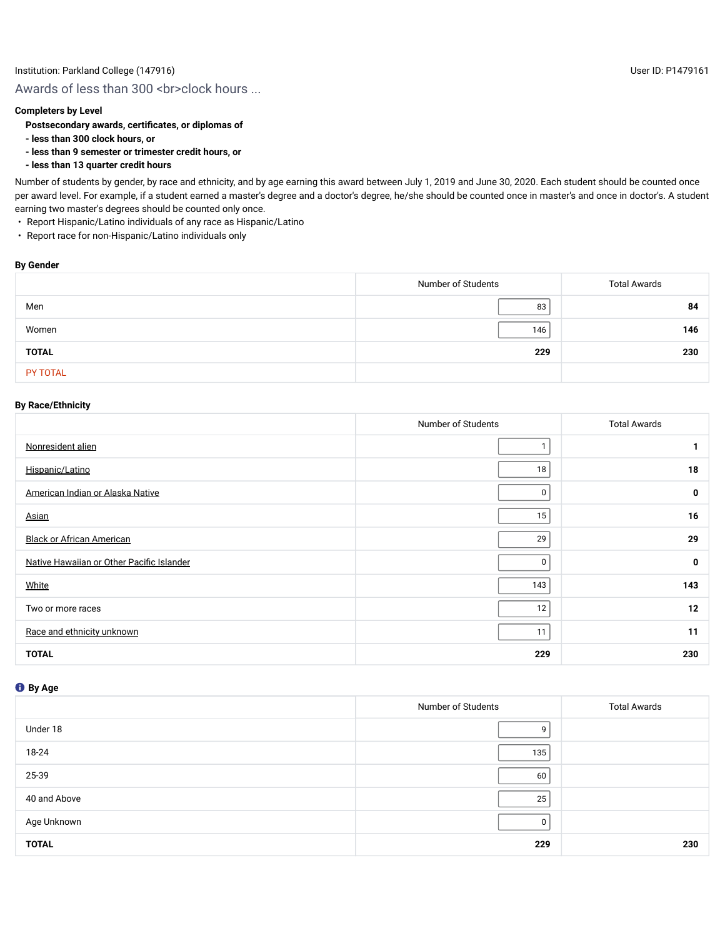## **Completers by Level**

## **Postsecondary awards, certificates, or diplomas of**

- **less than 300 clock hours, or**
- **less than 9 semester or trimester credit hours, or**
- **less than 13 quarter credit hours**

Number of students by gender, by race and ethnicity, and by age earning this award between July 1, 2019 and June 30, 2020. Each student should be counted once per award level. For example, if a student earned a master's degree and a doctor's degree, he/she should be counted once in master's and once in doctor's. A student earning two master's degrees should be counted only once.

- Report Hispanic/Latino individuals of any race as Hispanic/Latino
- Report race for non-Hispanic/Latino individuals only

#### **By Gender**

|                 | Number of Students | <b>Total Awards</b> |
|-----------------|--------------------|---------------------|
| Men             | 83                 | 84                  |
| Women           | 146                | 146                 |
| <b>TOTAL</b>    | 229                | 230                 |
| <b>PY TOTAL</b> |                    |                     |

## **By Race/Ethnicity**

|                                           | Number of Students | <b>Total Awards</b> |
|-------------------------------------------|--------------------|---------------------|
| Nonresident alien                         |                    | $\mathbf{1}$        |
| Hispanic/Latino                           | 18                 | 18                  |
| American Indian or Alaska Native          | 0                  | 0                   |
| <b>Asian</b>                              | 15                 | 16                  |
| <b>Black or African American</b>          | 29                 | 29                  |
| Native Hawaiian or Other Pacific Islander | 0                  | 0                   |
| White                                     | 143                | 143                 |
| Two or more races                         | 12                 | 12                  |
| Race and ethnicity unknown                | 11                 | 11                  |
| <b>TOTAL</b>                              | 229                | 230                 |

|              | Number of Students | <b>Total Awards</b> |
|--------------|--------------------|---------------------|
| Under 18     | q                  |                     |
| 18-24        | 135                |                     |
| 25-39        | 60                 |                     |
| 40 and Above | 25                 |                     |
| Age Unknown  | 0                  |                     |
| <b>TOTAL</b> | 229                | 230                 |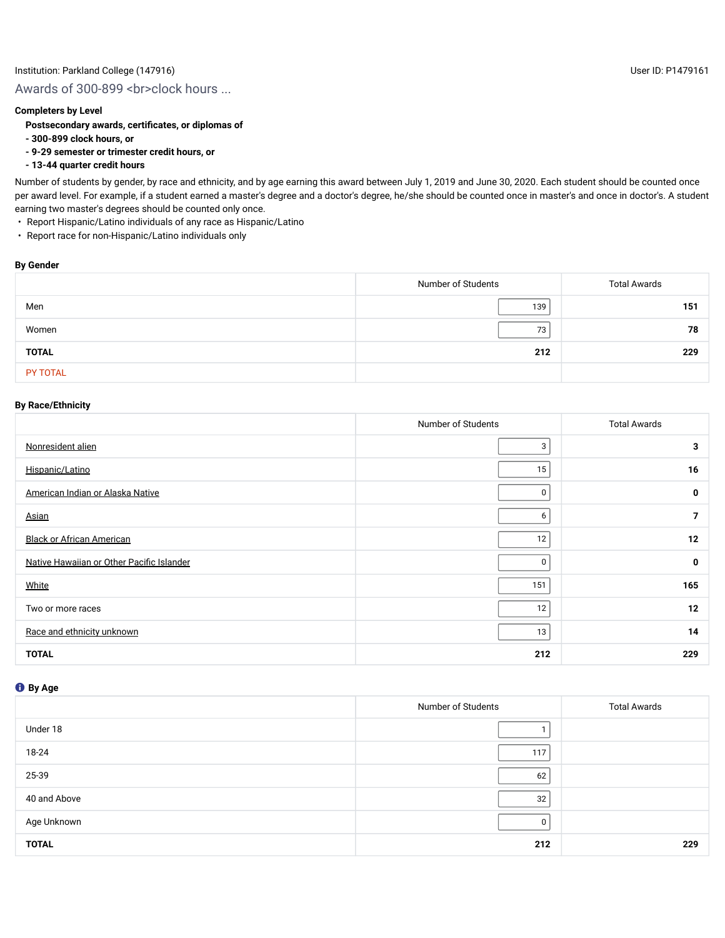## Awards of 300-899 <br >>br>clock hours ...

### **Completers by Level**

#### **Postsecondary awards, certificates, or diplomas of**

- **300-899 clock hours, or**
- **9-29 semester or trimester credit hours, or**
- **13-44 quarter credit hours**

Number of students by gender, by race and ethnicity, and by age earning this award between July 1, 2019 and June 30, 2020. Each student should be counted once per award level. For example, if a student earned a master's degree and a doctor's degree, he/she should be counted once in master's and once in doctor's. A student earning two master's degrees should be counted only once.

- Report Hispanic/Latino individuals of any race as Hispanic/Latino
- Report race for non-Hispanic/Latino individuals only

#### **By Gender**

|                 | Number of Students | <b>Total Awards</b> |
|-----------------|--------------------|---------------------|
| Men             | 139                | 151                 |
| Women           | 73                 | 78                  |
| <b>TOTAL</b>    | 212                | 229                 |
| <b>PY TOTAL</b> |                    |                     |

## **By Race/Ethnicity**

|                                           | Number of Students | <b>Total Awards</b> |
|-------------------------------------------|--------------------|---------------------|
| Nonresident alien                         | 3                  | 3                   |
| Hispanic/Latino                           | 15                 | 16                  |
| American Indian or Alaska Native          | 0                  | 0                   |
| <b>Asian</b>                              | 6                  | $\overline{7}$      |
| <b>Black or African American</b>          | 12                 | 12                  |
| Native Hawaiian or Other Pacific Islander | 0                  | 0                   |
| White                                     | 151                | 165                 |
| Two or more races                         | 12                 | 12                  |
| Race and ethnicity unknown                | 13                 | 14                  |
| <b>TOTAL</b>                              | 212                | 229                 |

|              | Number of Students | <b>Total Awards</b> |
|--------------|--------------------|---------------------|
| Under 18     |                    |                     |
| 18-24        | 117                |                     |
| 25-39        | 62                 |                     |
| 40 and Above | 32                 |                     |
| Age Unknown  | 0                  |                     |
| <b>TOTAL</b> | 212                | 229                 |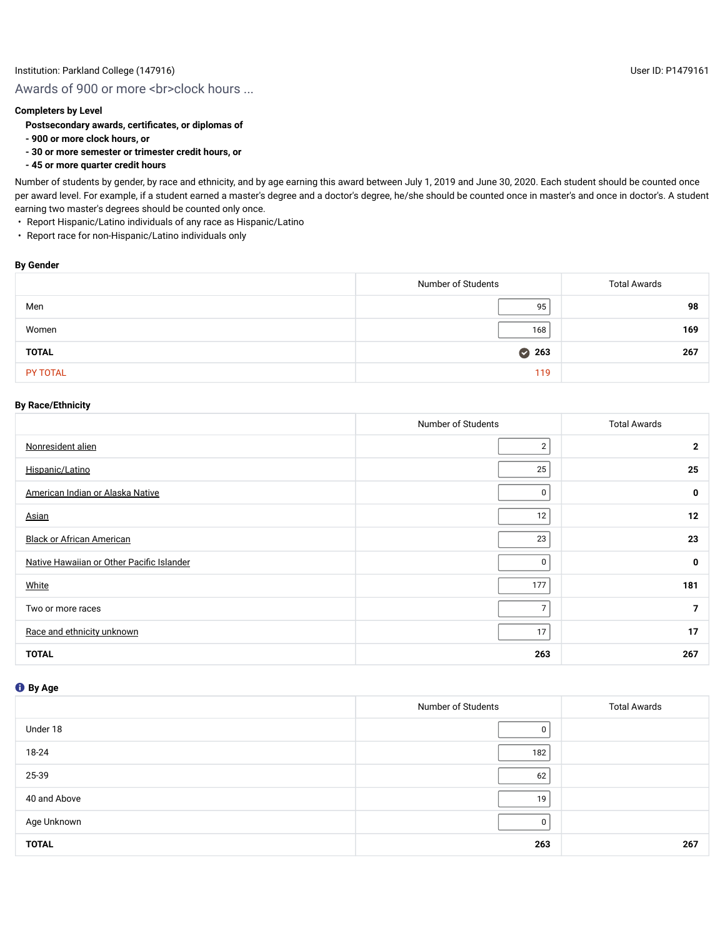# Awards of 900 or more <br ><br >clock hours ...

## **Completers by Level**

## **Postsecondary awards, certificates, or diplomas of**

- **900 or more clock hours, or**
- **30 or more semester or trimester credit hours, or**
- **45 or more quarter credit hours**

Number of students by gender, by race and ethnicity, and by age earning this award between July 1, 2019 and June 30, 2020. Each student should be counted once per award level. For example, if a student earned a master's degree and a doctor's degree, he/she should be counted once in master's and once in doctor's. A student earning two master's degrees should be counted only once.

- Report Hispanic/Latino individuals of any race as Hispanic/Latino
- Report race for non-Hispanic/Latino individuals only

#### **By Gender**

|              | Number of Students | <b>Total Awards</b> |
|--------------|--------------------|---------------------|
| Men          | 95                 | 98                  |
| Women        | 168                | 169                 |
| <b>TOTAL</b> | 263                | 267                 |
| PY TOTAL     | 119                |                     |

## **By Race/Ethnicity**

|                                           | Number of Students | <b>Total Awards</b> |
|-------------------------------------------|--------------------|---------------------|
| Nonresident alien                         | 2                  | $\mathbf{2}$        |
| Hispanic/Latino                           | 25                 | 25                  |
| American Indian or Alaska Native          | 0                  | 0                   |
| Asian                                     | 12                 | 12                  |
| <b>Black or African American</b>          | 23                 | 23                  |
| Native Hawaiian or Other Pacific Islander | 0                  | 0                   |
| White                                     | 177                | 181                 |
| Two or more races                         | $\overline{7}$     | $\overline{7}$      |
| Race and ethnicity unknown                | 17                 | 17                  |
| <b>TOTAL</b>                              | 263                | 267                 |

|              | Number of Students | <b>Total Awards</b> |
|--------------|--------------------|---------------------|
| Under 18     | 0                  |                     |
| 18-24        | 182                |                     |
| 25-39        | 62                 |                     |
| 40 and Above | 19                 |                     |
| Age Unknown  | 0                  |                     |
| <b>TOTAL</b> | 263                | 267                 |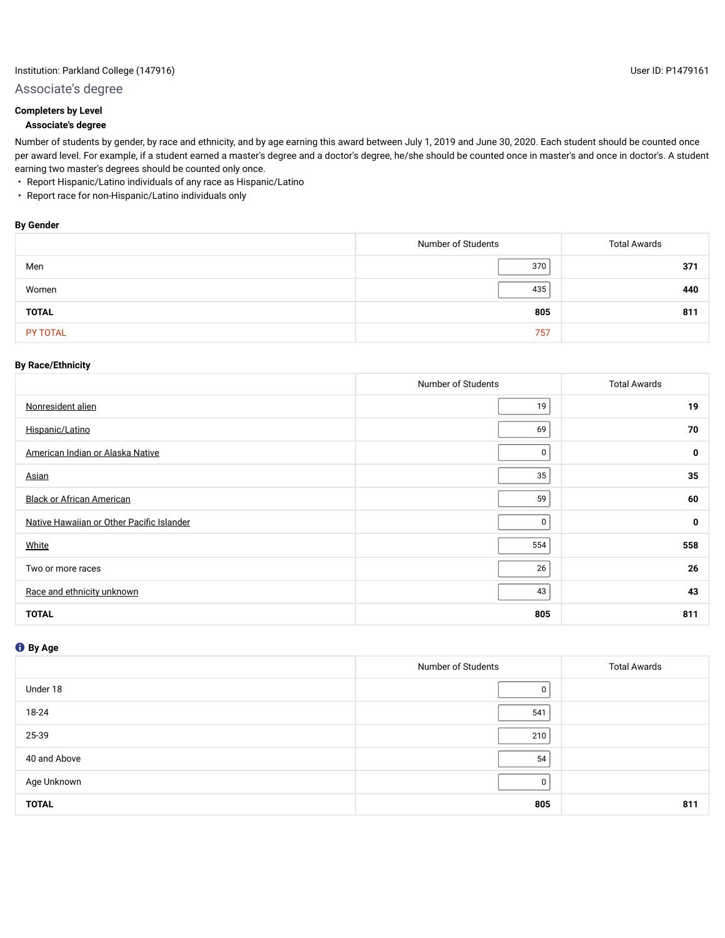## Institution: Parkland College (147916) User ID: P1479161

## Associate's degree

## **Completers by Level**

## **Associate's degree**

Number of students by gender, by race and ethnicity, and by age earning this award between July 1, 2019 and June 30, 2020. Each student should be counted once per award level. For example, if a student earned a master's degree and a doctor's degree, he/she should be counted once in master's and once in doctor's. A student earning two master's degrees should be counted only once.

- Report Hispanic/Latino individuals of any race as Hispanic/Latino
- Report race for non-Hispanic/Latino individuals only

### **By Gender**

|              | Number of Students | <b>Total Awards</b> |
|--------------|--------------------|---------------------|
| Men          | 370                | 371                 |
| Women        | 435                | 440                 |
| <b>TOTAL</b> | 805                | 811                 |
| PY TOTAL     | 757                |                     |

#### **By Race/Ethnicity**

|                                           | Number of Students | <b>Total Awards</b> |
|-------------------------------------------|--------------------|---------------------|
| Nonresident alien                         | 19                 | 19                  |
| Hispanic/Latino                           | 69                 | 70                  |
| American Indian or Alaska Native          | 0                  | $\mathbf 0$         |
| Asian                                     | 35                 | 35                  |
| <b>Black or African American</b>          | 59                 | 60                  |
| Native Hawaiian or Other Pacific Islander | 0                  | $\mathbf 0$         |
| White                                     | 554                | 558                 |
| Two or more races                         | 26                 | 26                  |
| Race and ethnicity unknown                | 43                 | 43                  |
| <b>TOTAL</b>                              | 805                | 811                 |

|              | Number of Students | <b>Total Awards</b> |
|--------------|--------------------|---------------------|
| Under 18     | 0                  |                     |
| 18-24        | 541                |                     |
| 25-39        | 210                |                     |
| 40 and Above | 54                 |                     |
| Age Unknown  | <sup>0</sup>       |                     |
| <b>TOTAL</b> | 805                | 811                 |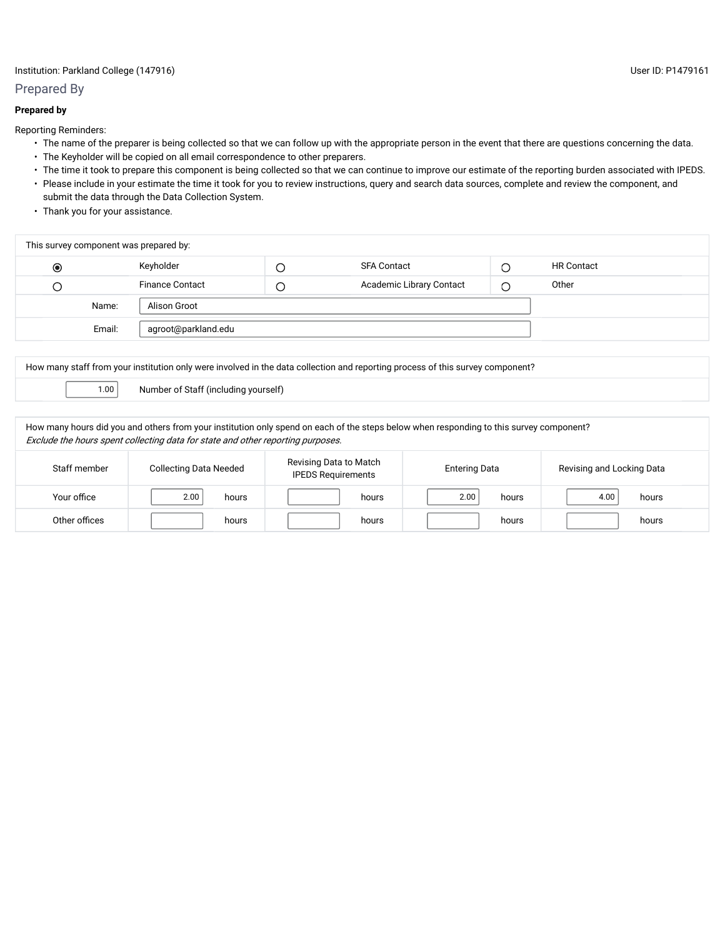## Institution: Parkland College (147916) User ID: P1479161

## Prepared By

## **Prepared by**

Reporting Reminders:

- The name of the preparer is being collected so that we can follow up with the appropriate person in the event that there are questions concerning the data.
- The Keyholder will be copied on all email correspondence to other preparers.
- The time it took to prepare this component is being collected so that we can continue to improve our estimate of the reporting burden associated with IPEDS. • Please include in your estimate the time it took for you to review instructions, query and search data sources, complete and review the component, and submit the data through the Data Collection System.
- Thank you for your assistance.

| This survey component was prepared by: |        |                        |   |                          |  |                   |  |  |  |  |
|----------------------------------------|--------|------------------------|---|--------------------------|--|-------------------|--|--|--|--|
| $\circledcirc$                         |        | Keyholder              | ╰ | SFA Contact              |  | <b>HR Contact</b> |  |  |  |  |
| О                                      |        | <b>Finance Contact</b> | Ć | Academic Library Contact |  | Other             |  |  |  |  |
|                                        | Name:  | Alison Groot           |   |                          |  |                   |  |  |  |  |
|                                        | Email: | agroot@parkland.edu    |   |                          |  |                   |  |  |  |  |
|                                        |        |                        |   |                          |  |                   |  |  |  |  |

How many staff from your institution only were involved in the data collection and reporting process of this survey component?

1.00 Number of Staff (including yourself)

How many hours did you and others from your institution only spend on each of the steps below when responding to this survey component? Exclude the hours spent collecting data for state and other reporting purposes.

| Staff member  | <b>Collecting Data Needed</b> | Revising Data to Match<br><b>IPEDS Requirements</b> | <b>Entering Data</b> | Revising and Locking Data |
|---------------|-------------------------------|-----------------------------------------------------|----------------------|---------------------------|
| Your office   | 2.00<br>hours                 | hours                                               | 2.00<br>hours        | 4.00<br>hours             |
| Other offices | hours                         | hours                                               | hours                | hours                     |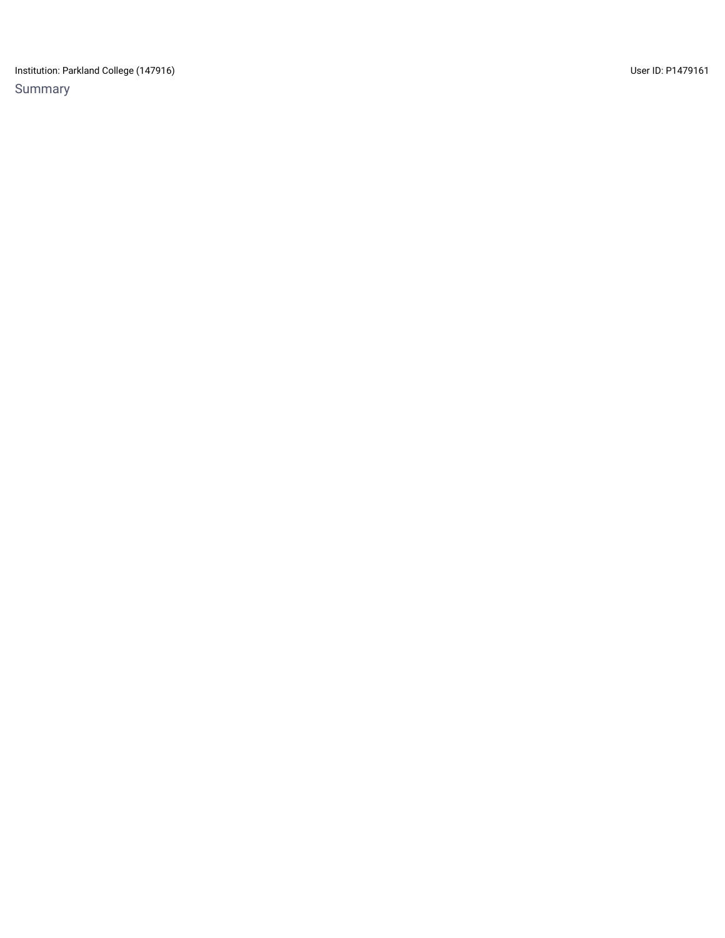Institution: Parkland College (147916) Contract the User ID: P1479161 Summary